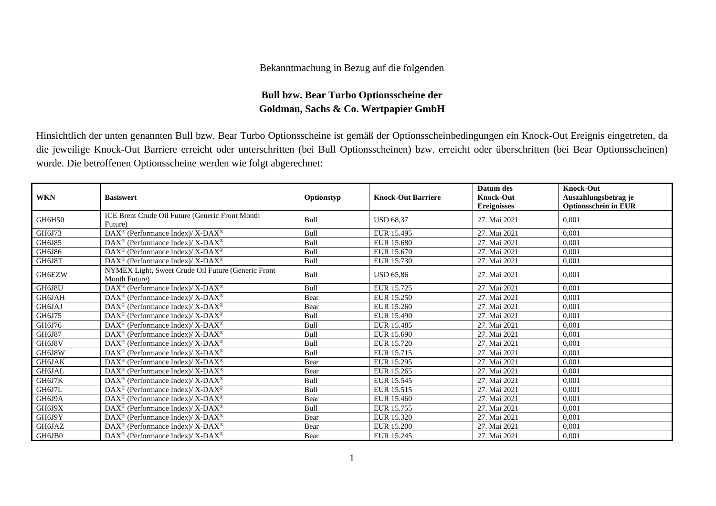## Bekanntmachung in Bezug auf die folgenden

## **Bull bzw. Bear Turbo Optionsscheine der Goldman, Sachs & Co. Wertpapier GmbH**

Hinsichtlich der unten genannten Bull bzw. Bear Turbo Optionsscheine ist gemäß der Optionsscheinbedingungen ein Knock-Out Ereignis eingetreten, da die jeweilige Knock-Out Barriere erreicht oder unterschritten (bei Bull Optionsscheinen) bzw. erreicht oder überschritten (bei Bear Optionsscheinen) wurde. Die betroffenen Optionsscheine werden wie folgt abgerechnet:

| <b>WKN</b> | <b>Basiswert</b>                                                    | Optionstyp  | <b>Knock-Out Barriere</b> | Datum des<br><b>Knock-Out</b> | <b>Knock-Out</b><br>Auszahlungsbetrag je |
|------------|---------------------------------------------------------------------|-------------|---------------------------|-------------------------------|------------------------------------------|
|            |                                                                     |             |                           | <b>Ereignisses</b>            | <b>Optionsschein in EUR</b>              |
| GH6H50     | ICE Brent Crude Oil Future (Generic Front Month<br>Future)          | <b>Bull</b> | <b>USD 68.37</b>          | 27. Mai 2021                  | 0,001                                    |
| GH6J73     | DAX <sup>®</sup> (Performance Index)/ X-DAX <sup>®</sup>            | Bull        | EUR 15.495                | 27. Mai 2021                  | 0,001                                    |
| GH6J85     | DAX <sup>®</sup> (Performance Index)/ X-DAX <sup>®</sup>            | Bull        | EUR 15.680                | 27. Mai 2021                  | 0,001                                    |
| GH6J86     | $DAX^{\circledast}$ (Performance Index)/ X-DAX <sup>®</sup>         | Bull        | EUR 15.670                | 27. Mai 2021                  | 0,001                                    |
| GH6J8T     | $DAX^{\circledcirc}$ (Performance Index)/ X-DAX <sup>®</sup>        | Bull        | EUR 15.730                | 27. Mai 2021                  | 0,001                                    |
| GH6EZW     | NYMEX Light, Sweet Crude Oil Future (Generic Front<br>Month Future) | Bull        | <b>USD 65,86</b>          | 27. Mai 2021                  | 0,001                                    |
| GH6J8U     | DAX <sup>®</sup> (Performance Index)/ X-DAX <sup>®</sup>            | Bull        | EUR 15.725                | 27. Mai 2021                  | 0,001                                    |
| GH6JAH     | DAX <sup>®</sup> (Performance Index)/ X-DAX <sup>®</sup>            | Bear        | EUR 15.250                | 27. Mai 2021                  | 0,001                                    |
| GH6JAJ     | $DAX^{\circledast}$ (Performance Index)/ X-DAX <sup>®</sup>         | Bear        | EUR 15.260                | 27. Mai 2021                  | 0,001                                    |
| GH6J75     | $DAX^{\circledcirc}$ (Performance Index)/ X-DAX <sup>®</sup>        | Bull        | EUR 15.490                | 27. Mai 2021                  | 0,001                                    |
| GH6J76     | $DAX^{\circledast}$ (Performance Index)/ X-DAX <sup>®</sup>         | Bull        | EUR 15.485                | 27. Mai 2021                  | 0,001                                    |
| GH6J87     | DAX <sup>®</sup> (Performance Index)/ X-DAX <sup>®</sup>            | Bull        | EUR 15.690                | 27. Mai 2021                  | 0,001                                    |
| GH6J8V     | DAX <sup>®</sup> (Performance Index)/ X-DAX <sup>®</sup>            | Bull        | EUR 15.720                | 27. Mai 2021                  | 0,001                                    |
| GH6J8W     | $DAX^{\circledast}$ (Performance Index)/ X-DAX <sup>®</sup>         | Bull        | EUR 15.715                | 27. Mai 2021                  | 0,001                                    |
| GH6JAK     | DAX <sup>®</sup> (Performance Index)/ X-DAX <sup>®</sup>            | Bear        | EUR 15.295                | 27. Mai 2021                  | 0,001                                    |
| GH6JAL     | DAX <sup>®</sup> (Performance Index)/ X-DAX <sup>®</sup>            | Bear        | EUR 15.265                | 27. Mai 2021                  | 0.001                                    |
| GH6J7K     | $DAX^{\circledast}$ (Performance Index)/ X-DAX <sup>®</sup>         | Bull        | EUR 15.545                | 27. Mai 2021                  | 0,001                                    |
| GH6J7L     | $DAX^{\circledast}$ (Performance Index)/ X-DAX <sup>®</sup>         | Bull        | EUR 15.515                | 27. Mai 2021                  | 0,001                                    |
| GH6J9A     | $DAX^{\circledcirc}$ (Performance Index)/ X-DAX <sup>®</sup>        | Bear        | EUR 15.460                | 27. Mai 2021                  | 0.001                                    |
| GH6J9X     | DAX <sup>®</sup> (Performance Index)/ X-DAX <sup>®</sup>            | Bull        | EUR 15.755                | 27. Mai 2021                  | 0,001                                    |
| GH6J9Y     | $DAX^{\circledast}$ (Performance Index)/ X-DAX <sup>®</sup>         | Bear        | EUR 15.320                | 27. Mai 2021                  | 0,001                                    |
| GH6JAZ     | $DAX^{\circledcirc}$ (Performance Index)/ X-DAX <sup>®</sup>        | Bear        | <b>EUR 15.200</b>         | 27. Mai 2021                  | 0,001                                    |
| GH6JB0     | DAX <sup>®</sup> (Performance Index)/ X-DAX <sup>®</sup>            | Bear        | EUR 15.245                | 27. Mai 2021                  | 0,001                                    |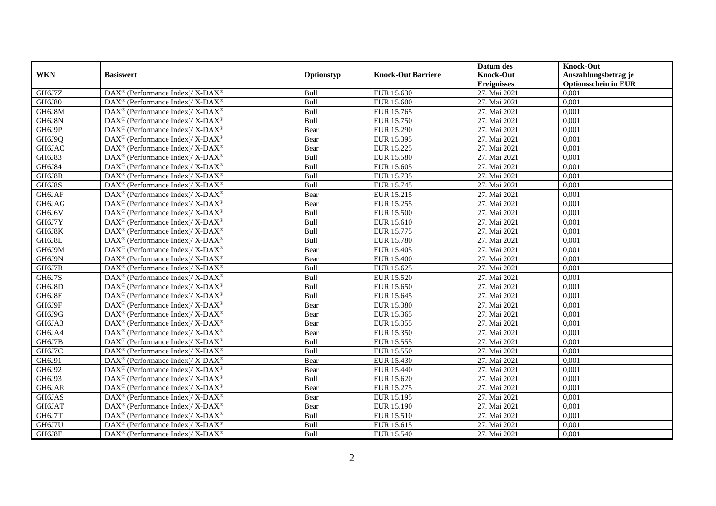|               |                                                              |            |                           | Datum des          | <b>Knock-Out</b>            |
|---------------|--------------------------------------------------------------|------------|---------------------------|--------------------|-----------------------------|
| <b>WKN</b>    | <b>Basiswert</b>                                             | Optionstyp | <b>Knock-Out Barriere</b> | <b>Knock-Out</b>   | Auszahlungsbetrag je        |
|               |                                                              |            |                           | <b>Ereignisses</b> | <b>Optionsschein in EUR</b> |
| GH6J7Z        | DAX <sup>®</sup> (Performance Index)/ X-DAX <sup>®</sup>     | Bull       | EUR 15.630                | 27. Mai 2021       | 0,001                       |
| <b>GH6J80</b> | $DAX^{\circledast}$ (Performance Index)/ X-DAX <sup>®</sup>  | Bull       | <b>EUR 15.600</b>         | 27. Mai 2021       | 0,001                       |
| GH6J8M        | $DAX^{\circledcirc}$ (Performance Index)/ X-DAX <sup>®</sup> | Bull       | EUR 15.765                | 27. Mai 2021       | 0,001                       |
| GH6J8N        | $DAX^{\circledast}$ (Performance Index)/ X-DAX <sup>®</sup>  | Bull       | EUR 15.750                | 27. Mai 2021       | 0,001                       |
| GH6J9P        | $DAX^{\circledast}$ (Performance Index)/ X-DAX <sup>®</sup>  | Bear       | EUR 15.290                | 27. Mai 2021       | 0,001                       |
| GH6J9Q        | DAX <sup>®</sup> (Performance Index)/ X-DAX <sup>®</sup>     | Bear       | EUR 15.395                | 27. Mai 2021       | 0,001                       |
| GH6JAC        | $DAX^{\circledast}$ (Performance Index)/ X-DAX <sup>®</sup>  | Bear       | EUR 15.225                | 27. Mai 2021       | 0,001                       |
| GH6J83        | DAX <sup>®</sup> (Performance Index)/ X-DAX <sup>®</sup>     | Bull       | EUR 15.580                | 27. Mai 2021       | 0,001                       |
| GH6J84        | DAX <sup>®</sup> (Performance Index)/ X-DAX <sup>®</sup>     | Bull       | EUR 15.605                | 27. Mai 2021       | 0,001                       |
| GH6J8R        | $DAX^{\circledast}$ (Performance Index)/ X-DAX <sup>®</sup>  | Bull       | EUR 15.735                | 27. Mai 2021       | 0,001                       |
| GH6J8S        | $DAX^{\circledast}$ (Performance Index)/ X-DAX <sup>®</sup>  | Bull       | <b>EUR 15.745</b>         | 27. Mai 2021       | 0,001                       |
| <b>GH6JAF</b> | $DAX^{\circledast}$ (Performance Index)/ X-DAX <sup>®</sup>  | Bear       | EUR 15.215                | 27. Mai 2021       | 0,001                       |
| GH6JAG        | $DAX^{\circledast}$ (Performance Index)/ X-DAX <sup>®</sup>  | Bear       | EUR 15.255                | 27. Mai 2021       | 0,001                       |
| GH6J6V        | DAX <sup>®</sup> (Performance Index)/ X-DAX <sup>®</sup>     | Bull       | EUR 15.500                | 27. Mai 2021       | 0,001                       |
| GH6J7Y        | $DAX^{\circledcirc}$ (Performance Index)/ X-DAX <sup>®</sup> | Bull       | EUR 15.610                | 27. Mai 2021       | 0,001                       |
| GH6J8K        | DAX <sup>®</sup> (Performance Index)/ X-DAX <sup>®</sup>     | Bull       | EUR 15.775                | 27. Mai 2021       | 0,001                       |
| GH6J8L        | DAX <sup>®</sup> (Performance Index)/ X-DAX <sup>®</sup>     | Bull       | <b>EUR 15.780</b>         | 27. Mai 2021       | 0,001                       |
| GH6J9M        | $DAX^{\circledast}$ (Performance Index)/ X-DAX <sup>®</sup>  | Bear       | EUR 15.405                | 27. Mai 2021       | 0,001                       |
| GH6J9N        | DAX <sup>®</sup> (Performance Index)/ X-DAX <sup>®</sup>     | Bear       | EUR 15.400                | 27. Mai 2021       | 0,001                       |
| GH6J7R        | DAX <sup>®</sup> (Performance Index)/ X-DAX <sup>®</sup>     | Bull       | EUR 15.625                | 27. Mai 2021       | 0,001                       |
| GH6J7S        | $DAX^{\circledcirc}$ (Performance Index)/ X-DAX <sup>®</sup> | Bull       | EUR 15.520                | 27. Mai 2021       | 0.001                       |
| GH6J8D        | $DAX^{\circledast}$ (Performance Index)/ X-DAX <sup>®</sup>  | Bull       | EUR 15.650                | 27. Mai 2021       | 0,001                       |
| GH6J8E        | DAX <sup>®</sup> (Performance Index)/ X-DAX <sup>®</sup>     | Bull       | EUR 15.645                | 27. Mai 2021       | 0,001                       |
| GH6J9F        | $DAX^{\circledast}$ (Performance Index)/ X-DAX <sup>®</sup>  | Bear       | EUR 15.380                | 27. Mai 2021       | 0,001                       |
| GH6J9G        | $DAX^{\circledast}$ (Performance Index)/ X-DAX <sup>®</sup>  | Bear       | EUR 15.365                | 27. Mai 2021       | 0,001                       |
| GH6JA3        | $DAX^{\circledast}$ (Performance Index)/ X-DAX <sup>®</sup>  | Bear       | EUR 15.355                | 27. Mai 2021       | 0,001                       |
| GH6JA4        | DAX <sup>®</sup> (Performance Index)/ X-DAX <sup>®</sup>     | Bear       | EUR 15.350                | 27. Mai 2021       | 0,001                       |
| GH6J7B        | DAX <sup>®</sup> (Performance Index)/ X-DAX <sup>®</sup>     | Bull       | EUR 15.555                | 27. Mai 2021       | 0,001                       |
| GH6J7C        | $DAX^{\circledast}$ (Performance Index)/ X-DAX <sup>®</sup>  | Bull       | EUR 15.550                | 27. Mai 2021       | 0,001                       |
| GH6J91        | $DAX^{\circledast}$ (Performance Index)/ X-DAX <sup>®</sup>  | Bear       | EUR 15.430                | 27. Mai 2021       | 0,001                       |
| GH6J92        | $DAX^{\circledast}$ (Performance Index)/ X-DAX <sup>®</sup>  | Bear       | EUR 15.440                | 27. Mai 2021       | 0,001                       |
| GH6J93        | $DAX^{\circledast}$ (Performance Index)/ X-DAX <sup>®</sup>  | Bull       | EUR 15.620                | 27. Mai 2021       | 0,001                       |
| GH6JAR        | $DAX^{\circledast}$ (Performance Index)/ X-DAX <sup>®</sup>  | Bear       | EUR 15.275                | 27. Mai 2021       | 0,001                       |
| GH6JAS        | DAX <sup>®</sup> (Performance Index)/ X-DAX <sup>®</sup>     | Bear       | EUR 15.195                | 27. Mai 2021       | 0,001                       |
| GH6JAT        | $DAX^{\circledast}$ (Performance Index)/ X-DAX <sup>®</sup>  | Bear       | EUR 15.190                | 27. Mai 2021       | 0,001                       |
| GH6J7T        | $DAX^{\circledast}$ (Performance Index)/ X-DAX <sup>®</sup>  | Bull       | EUR 15.510                | 27. Mai 2021       | 0,001                       |
| GH6J7U        | $DAX^{\circledast}$ (Performance Index)/ X-DAX <sup>®</sup>  | Bull       | EUR 15.615                | 27. Mai 2021       | 0,001                       |
| GH6J8F        | $DAX^{\circledast}$ (Performance Index)/ X-DAX <sup>®</sup>  | Bull       | EUR 15.540                | 27. Mai 2021       | 0,001                       |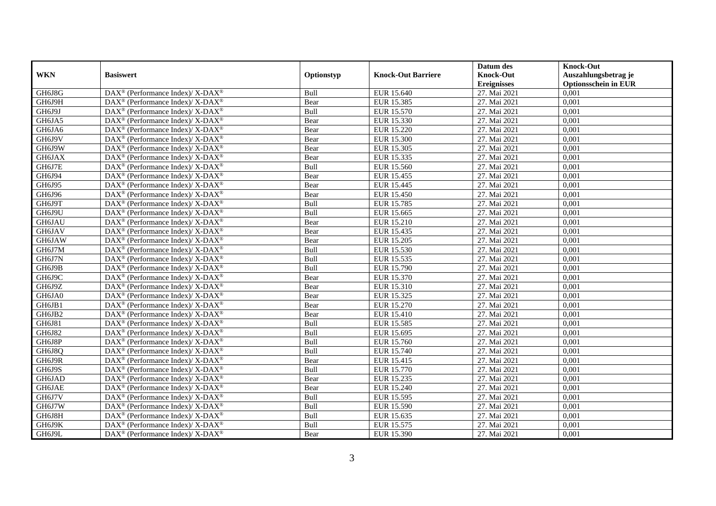|               |                                                              |            |                           | Datum des          | <b>Knock-Out</b>            |
|---------------|--------------------------------------------------------------|------------|---------------------------|--------------------|-----------------------------|
| <b>WKN</b>    | <b>Basiswert</b>                                             | Optionstyp | <b>Knock-Out Barriere</b> | <b>Knock-Out</b>   | Auszahlungsbetrag je        |
|               |                                                              |            |                           | <b>Ereignisses</b> | <b>Optionsschein in EUR</b> |
| GH6J8G        | DAX <sup>®</sup> (Performance Index)/ X-DAX <sup>®</sup>     | Bull       | EUR 15.640                | 27. Mai 2021       | 0,001                       |
| GH6J9H        | $DAX^{\circledast}$ (Performance Index)/ X-DAX <sup>®</sup>  | Bear       | EUR 15.385                | 27. Mai 2021       | 0,001                       |
| GH6J9J        | $DAX^{\circledast}$ (Performance Index)/ X-DAX <sup>®</sup>  | Bull       | EUR 15.570                | 27. Mai 2021       | 0,001                       |
| GH6JA5        | $DAX^{\circledast}$ (Performance Index)/ X-DAX <sup>®</sup>  | Bear       | EUR 15.330                | 27. Mai 2021       | 0,001                       |
| GH6JA6        | $DAX^{\circledast}$ (Performance Index)/ X-DAX <sup>®</sup>  | Bear       | <b>EUR 15.220</b>         | 27. Mai 2021       | 0,001                       |
| GH6J9V        | DAX <sup>®</sup> (Performance Index)/ X-DAX <sup>®</sup>     | Bear       | <b>EUR 15.300</b>         | 27. Mai 2021       | 0,001                       |
| GH6J9W        | $DAX^{\circledast}$ (Performance Index)/ X-DAX <sup>®</sup>  | Bear       | EUR 15.305                | 27. Mai 2021       | 0,001                       |
| GH6JAX        | $DAX^{\circledast}$ (Performance Index)/ X-DAX <sup>®</sup>  | Bear       | EUR 15.335                | 27. Mai 2021       | 0,001                       |
| GH6J7E        | $DAX^{\circledast}$ (Performance Index)/ X-DAX <sup>®</sup>  | Bull       | EUR 15.560                | 27. Mai 2021       | 0,001                       |
| GH6J94        | DAX <sup>®</sup> (Performance Index)/ X-DAX <sup>®</sup>     | Bear       | EUR 15.455                | 27. Mai 2021       | 0,001                       |
| GH6J95        | $DAX^{\circledcirc}$ (Performance Index)/ X-DAX <sup>®</sup> | Bear       | EUR 15.445                | 27. Mai 2021       | 0,001                       |
| GH6J96        | DAX <sup>®</sup> (Performance Index)/ X-DAX <sup>®</sup>     | Bear       | <b>EUR 15.450</b>         | 27. Mai 2021       | 0,001                       |
| GH6J9T        | $DAX^{\circledast}$ (Performance Index)/ X-DAX <sup>®</sup>  | Bull       | EUR 15.785                | 27. Mai 2021       | 0,001                       |
| GH6J9U        | $DAX^{\circledast}$ (Performance Index)/ X-DAX <sup>®</sup>  | Bull       | EUR 15.665                | 27. Mai 2021       | 0,001                       |
| GH6JAU        | $DAX^{\circledast}$ (Performance Index)/ X-DAX <sup>®</sup>  | Bear       | EUR 15.210                | 27. Mai 2021       | 0,001                       |
| GH6JAV        | DAX <sup>®</sup> (Performance Index)/ X-DAX <sup>®</sup>     | Bear       | EUR 15.435                | 27. Mai 2021       | 0,001                       |
| GH6JAW        | $DAX^{\circledast}$ (Performance Index)/ X-DAX <sup>®</sup>  | Bear       | <b>EUR 15.205</b>         | 27. Mai 2021       | 0,001                       |
| GH6J7M        | $DAX^{\circledast}$ (Performance Index)/ X-DAX <sup>®</sup>  | Bull       | EUR 15.530                | 27. Mai 2021       | 0,001                       |
| GH6J7N        | $DAX^{\circledast}$ (Performance Index)/ X-DAX <sup>®</sup>  | Bull       | EUR 15.535                | 27. Mai 2021       | 0,001                       |
| GH6J9B        | DAX <sup>®</sup> (Performance Index)/ X-DAX <sup>®</sup>     | Bull       | EUR 15.790                | 27. Mai 2021       | 0,001                       |
| GH6J9C        | $DAX^{\circledast}$ (Performance Index)/ X-DAX <sup>®</sup>  | Bear       | EUR 15.370                | 27. Mai 2021       | 0,001                       |
| GH6J9Z        | $DAX^{\circledast}$ (Performance Index)/ X-DAX <sup>®</sup>  | Bear       | EUR 15.310                | 27. Mai 2021       | 0,001                       |
| GH6JA0        | DAX <sup>®</sup> (Performance Index)/ X-DAX <sup>®</sup>     | Bear       | EUR 15.325                | 27. Mai 2021       | 0,001                       |
| GH6JB1        | $DAX^{\circledast}$ (Performance Index)/ X-DAX <sup>®</sup>  | Bear       | EUR 15.270                | 27. Mai 2021       | 0,001                       |
| GH6JB2        | DAX <sup>®</sup> (Performance Index)/ X-DAX <sup>®</sup>     | Bear       | EUR 15.410                | 27. Mai 2021       | 0,001                       |
| GH6J81        | DAX <sup>®</sup> (Performance Index)/ X-DAX <sup>®</sup>     | Bull       | EUR 15.585                | 27. Mai 2021       | 0,001                       |
| GH6J82        | DAX <sup>®</sup> (Performance Index)/ X-DAX <sup>®</sup>     | Bull       | EUR 15.695                | 27. Mai 2021       | 0,001                       |
| GH6J8P        | DAX <sup>®</sup> (Performance Index)/ X-DAX <sup>®</sup>     | Bull       | EUR 15.760                | 27. Mai 2021       | 0,001                       |
| GH6J8Q        | $DAX^{\circledast}$ (Performance Index)/ X-DAX <sup>®</sup>  | Bull       | EUR 15.740                | 27. Mai 2021       | 0,001                       |
| GH6J9R        | DAX <sup>®</sup> (Performance Index)/ $X$ -DAX <sup>®</sup>  | Bear       | EUR 15.415                | 27. Mai 2021       | 0,001                       |
| GH6J9S        | $DAX^{\circledast}$ (Performance Index)/ X-DAX <sup>®</sup>  | Bull       | EUR 15.770                | 27. Mai 2021       | 0,001                       |
| GH6JAD        | DAX <sup>®</sup> (Performance Index)/ X-DAX <sup>®</sup>     | Bear       | EUR 15.235                | 27. Mai 2021       | 0,001                       |
| <b>GH6JAE</b> | $DAX^{\circledast}$ (Performance Index)/ X-DAX <sup>®</sup>  | Bear       | EUR 15.240                | 27. Mai 2021       | 0,001                       |
| GH6J7V        | DAX <sup>®</sup> (Performance Index)/ X-DAX <sup>®</sup>     | Bull       | EUR 15.595                | 27. Mai 2021       | 0,001                       |
| GH6J7W        | DAX <sup>®</sup> (Performance Index)/ X-DAX <sup>®</sup>     | Bull       | EUR 15.590                | 27. Mai 2021       | 0,001                       |
| GH6J8H        | $DAX^{\circledast}$ (Performance Index)/ X-DAX <sup>®</sup>  | Bull       | EUR 15.635                | 27. Mai 2021       | 0,001                       |
| GH6J9K        | $DAX^{\circledast}$ (Performance Index)/ X-DAX <sup>®</sup>  | Bull       | EUR 15.575                | 27. Mai 2021       | 0,001                       |
| GH6J9L        | $DAX^{\circledast}$ (Performance Index)/ X-DAX <sup>®</sup>  | Bear       | EUR 15.390                | 27. Mai 2021       | 0,001                       |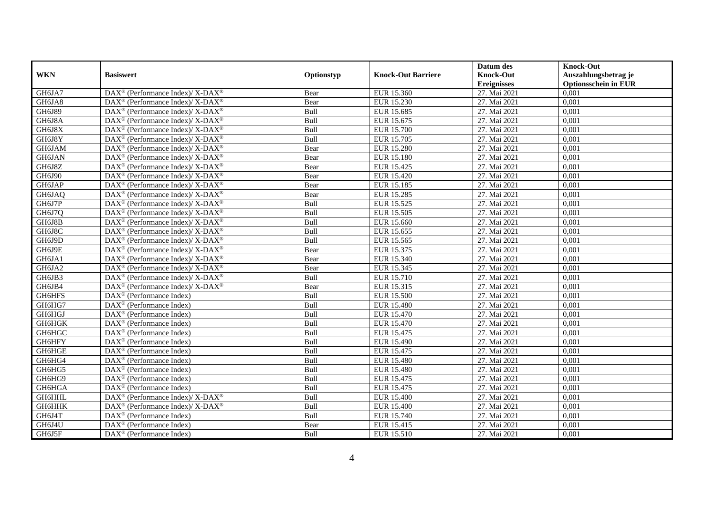|            |                                                              |            |                           | Datum des          | <b>Knock-Out</b>            |
|------------|--------------------------------------------------------------|------------|---------------------------|--------------------|-----------------------------|
| <b>WKN</b> | <b>Basiswert</b>                                             | Optionstyp | <b>Knock-Out Barriere</b> | <b>Knock-Out</b>   | Auszahlungsbetrag je        |
|            |                                                              |            |                           | <b>Ereignisses</b> | <b>Optionsschein in EUR</b> |
| GH6JA7     | DAX <sup>®</sup> (Performance Index)/ X-DAX <sup>®</sup>     | Bear       | EUR 15.360                | 27. Mai 2021       | 0,001                       |
| GH6JA8     | DAX <sup>®</sup> (Performance Index)/ X-DAX <sup>®</sup>     | Bear       | EUR 15.230                | 27. Mai 2021       | 0,001                       |
| GH6J89     | $DAX^{\circledast}$ (Performance Index)/ X-DAX <sup>®</sup>  | Bull       | EUR 15.685                | 27. Mai 2021       | 0,001                       |
| GH6J8A     | DAX <sup>®</sup> (Performance Index)/ X-DAX <sup>®</sup>     | Bull       | EUR 15.675                | 27. Mai 2021       | 0,001                       |
| GH6J8X     | $DAX^{\circledast}$ (Performance Index)/ X-DAX <sup>®</sup>  | Bull       | <b>EUR 15.700</b>         | 27. Mai 2021       | 0,001                       |
| GH6J8Y     | $DAX^{\circledast}$ (Performance Index)/ X-DAX <sup>®</sup>  | Bull       | EUR 15.705                | 27. Mai 2021       | 0,001                       |
| GH6JAM     | DAX <sup>®</sup> (Performance Index)/ X-DAX <sup>®</sup>     | Bear       | EUR 15.280                | 27. Mai 2021       | 0,001                       |
| GH6JAN     | DAX <sup>®</sup> (Performance Index)/ X-DAX <sup>®</sup>     | Bear       | <b>EUR 15.180</b>         | 27. Mai 2021       | 0,001                       |
| GH6J8Z     | $DAX^{\circledast}$ (Performance Index)/ X-DAX <sup>®</sup>  | Bear       | EUR 15.425                | 27. Mai 2021       | 0,001                       |
| GH6J90     | $DAX^{\circledast}$ (Performance Index)/ X-DAX <sup>®</sup>  | Bear       | EUR 15.420                | 27. Mai 2021       | 0,001                       |
| GH6JAP     | $DAX^{\circledast}$ (Performance Index)/ X-DAX <sup>®</sup>  | Bear       | EUR 15.185                | 27. Mai 2021       | 0,001                       |
| GH6JAQ     | DAX <sup>®</sup> (Performance Index)/ X-DAX <sup>®</sup>     | Bear       | <b>EUR 15.285</b>         | 27. Mai 2021       | 0,001                       |
| GH6J7P     | $DAX^{\circledast}$ (Performance Index)/ X-DAX <sup>®</sup>  | Bull       | EUR 15.525                | 27. Mai 2021       | 0,001                       |
| GH6J7Q     | $DAX^{\circledast}$ (Performance Index)/ X-DAX <sup>®</sup>  | Bull       | EUR 15.505                | 27. Mai 2021       | 0,001                       |
| GH6J8B     | DAX <sup>®</sup> (Performance Index)/ X-DAX <sup>®</sup>     | Bull       | EUR 15.660                | 27. Mai 2021       | 0,001                       |
| GH6J8C     | DAX <sup>®</sup> (Performance Index)/ X-DAX <sup>®</sup>     | Bull       | EUR 15.655                | 27. Mai 2021       | 0,001                       |
| GH6J9D     | $DAX^{\circledast}$ (Performance Index)/ X-DAX <sup>®</sup>  | Bull       | EUR 15.565                | 27. Mai 2021       | 0,001                       |
| GH6J9E     | $DAX^{\circledcirc}$ (Performance Index)/ X-DAX <sup>®</sup> | Bear       | EUR 15.375                | 27. Mai 2021       | 0.001                       |
| GH6JA1     | $DAX^{\circledast}$ (Performance Index)/ X-DAX <sup>®</sup>  | Bear       | EUR 15.340                | 27. Mai 2021       | 0,001                       |
| GH6JA2     | $DAX^{\circledast}$ (Performance Index)/ X-DAX <sup>®</sup>  | Bear       | EUR 15.345                | 27. Mai 2021       | 0,001                       |
| GH6JB3     | $DAX^{\circledast}$ (Performance Index)/ X-DAX <sup>®</sup>  | Bull       | EUR 15.710                | 27. Mai 2021       | 0,001                       |
| GH6JB4     | DAX <sup>®</sup> (Performance Index)/ X-DAX <sup>®</sup>     | Bear       | EUR 15.315                | 27. Mai 2021       | 0,001                       |
| GH6HFS     | $\text{DAX}^{\otimes}$ (Performance Index)                   | Bull       | <b>EUR 15.500</b>         | 27. Mai 2021       | 0,001                       |
| GH6HG7     | $\text{DAX}^{\otimes}$ (Performance Index)                   | Bull       | <b>EUR 15.480</b>         | 27. Mai 2021       | 0,001                       |
| GH6HGJ     | DAX <sup>®</sup> (Performance Index)                         | Bull       | EUR 15.470                | 27. Mai 2021       | 0,001                       |
| GH6HGK     | DAX <sup>®</sup> (Performance Index)                         | Bull       | EUR 15.470                | 27. Mai 2021       | 0,001                       |
| GH6HGC     | DAX <sup>®</sup> (Performance Index)                         | Bull       | EUR 15.475                | 27. Mai 2021       | 0,001                       |
| GH6HFY     | DAX <sup>®</sup> (Performance Index)                         | Bull       | <b>EUR 15.490</b>         | 27. Mai 2021       | 0,001                       |
| GH6HGE     | $DAX^{\circledR}$ (Performance Index)                        | Bull       | EUR 15.475                | 27. Mai 2021       | 0,001                       |
| GH6HG4     | $DAX^{\circledR}$ (Performance Index)                        | Bull       | <b>EUR 15.480</b>         | 27. Mai 2021       | 0,001                       |
| GH6HG5     | $\text{DAX}^{\otimes}$ (Performance Index)                   | Bull       | EUR 15.480                | 27. Mai 2021       | 0,001                       |
| GH6HG9     | $DAX^{\circledast}$ (Performance Index)                      | Bull       | EUR 15.475                | 27. Mai 2021       | 0,001                       |
| GH6HGA     | $\overline{\text{DAX}^{\otimes}}$ (Performance Index)        | Bull       | EUR 15.475                | 27. Mai 2021       | 0,001                       |
| GH6HHL     | DAX <sup>®</sup> (Performance Index)/ X-DAX <sup>®</sup>     | Bull       | <b>EUR 15.400</b>         | 27. Mai 2021       | 0,001                       |
| GH6HHK     | $DAX^{\circledast}$ (Performance Index)/ X-DAX <sup>®</sup>  | Bull       | EUR 15.400                | 27. Mai 2021       | 0,001                       |
| GH6J4T     | $\text{DAX}^{\otimes}$ (Performance Index)                   | Bull       | EUR 15.740                | 27. Mai 2021       | 0,001                       |
| GH6J4U     | $\text{DAX}^{\otimes}$ (Performance Index)                   | Bear       | EUR 15.415                | 27. Mai 2021       | 0,001                       |
| GH6J5F     | $\text{DAX}^{\otimes}$ (Performance Index)                   | Bull       | EUR 15.510                | 27. Mai 2021       | 0,001                       |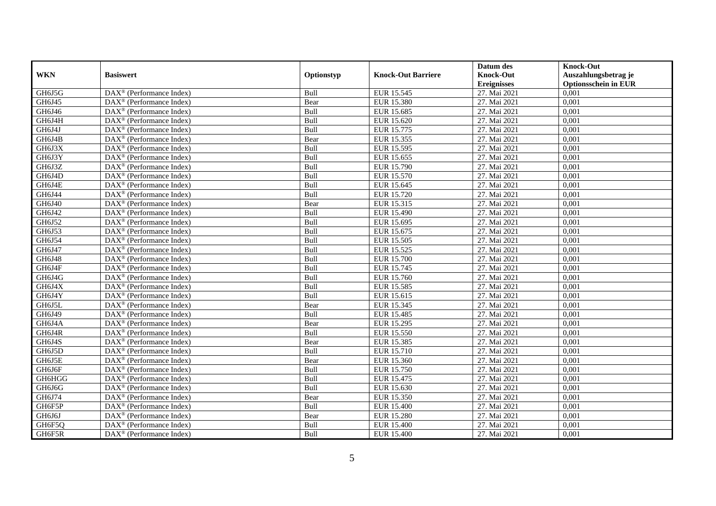|            |                                                         |            |                           | Datum des          | <b>Knock-Out</b>            |
|------------|---------------------------------------------------------|------------|---------------------------|--------------------|-----------------------------|
| <b>WKN</b> | <b>Basiswert</b>                                        | Optionstyp | <b>Knock-Out Barriere</b> | <b>Knock-Out</b>   | Auszahlungsbetrag je        |
|            |                                                         |            |                           | <b>Ereignisses</b> | <b>Optionsschein in EUR</b> |
| GH6J5G     | $\overline{\text{DAX}^{\otimes}}$ (Performance Index)   | Bull       | EUR 15.545                | 27. Mai 2021       | 0,001                       |
| GH6J45     | $\text{DAX}^{\otimes}$ (Performance Index)              | Bear       | EUR 15.380                | 27. Mai 2021       | 0,001                       |
| GH6J46     | DAX <sup>®</sup> (Performance Index)                    | Bull       | EUR 15.685                | 27. Mai 2021       | 0,001                       |
| GH6J4H     | $\text{DAX}^{\otimes}$ (Performance Index)              | Bull       | EUR 15.620                | 27. Mai 2021       | 0,001                       |
| GH6J4J     | DAX <sup>®</sup> (Performance Index)                    | Bull       | EUR 15.775                | 27. Mai 2021       | 0,001                       |
| GH6J4B     | $\text{DAX}^{\otimes}$ (Performance Index)              | Bear       | EUR 15.355                | 27. Mai 2021       | 0,001                       |
| GH6J3X     | $\overline{\text{DAX}}^{\textcirc}$ (Performance Index) | Bull       | EUR 15.595                | 27. Mai 2021       | 0,001                       |
| GH6J3Y     | $DAX^{\otimes}$ (Performance Index)                     | Bull       | EUR 15.655                | 27. Mai 2021       | 0,001                       |
| GH6J3Z     | $DAX^{\circledcirc}$ (Performance Index)                | Bull       | EUR 15.790                | 27. Mai 2021       | 0,001                       |
| GH6J4D     | $DAX^{\circledR}$ (Performance Index)                   | Bull       | EUR 15.570                | 27. Mai 2021       | 0,001                       |
| GH6J4E     | DAX <sup>®</sup> (Performance Index)                    | Bull       | EUR 15.645                | 27. Mai 2021       | 0,001                       |
| GH6J44     | $\overline{\text{DAX}^{\otimes}}$ (Performance Index)   | Bull       | <b>EUR 15.720</b>         | 27. Mai 2021       | 0,001                       |
| GH6J40     | $\text{DAX}^{\otimes}$ (Performance Index)              | Bear       | EUR 15.315                | 27. Mai 2021       | 0,001                       |
| GH6J42     | $\text{DAX}^{\otimes}$ (Performance Index)              | Bull       | EUR 15.490                | 27. Mai 2021       | 0,001                       |
| GH6J52     | DAX <sup>®</sup> (Performance Index)                    | Bull       | EUR 15.695                | 27. Mai 2021       | 0,001                       |
| GH6J53     | DAX <sup>®</sup> (Performance Index)                    | Bull       | EUR 15.675                | 27. Mai 2021       | 0,001                       |
| GH6J54     | $\text{DAX}^{\otimes}$ (Performance Index)              | Bull       | EUR 15.505                | 27. Mai 2021       | 0,001                       |
| GH6J47     | $DAX^{\circledR}$ (Performance Index)                   | Bull       | EUR 15.525                | 27. Mai 2021       | 0.001                       |
| GH6J48     | $DAX^{\otimes}$ (Performance Index)                     | Bull       | <b>EUR 15.700</b>         | 27. Mai 2021       | 0,001                       |
| GH6J4F     | DAX <sup>®</sup> (Performance Index)                    | Bull       | EUR 15.745                | 27. Mai 2021       | 0,001                       |
| GH6J4G     | $\text{DAX}^{\otimes}$ (Performance Index)              | Bull       | <b>EUR 15.760</b>         | 27. Mai 2021       | 0,001                       |
| GH6J4X     | $DAX^{\circledR}$ (Performance Index)                   | Bull       | EUR 15.585                | 27. Mai 2021       | 0,001                       |
| GH6J4Y     | $\text{DAX}^{\otimes}$ (Performance Index)              | Bull       | EUR 15.615                | 27. Mai 2021       | 0,001                       |
| GH6J5L     | $\text{DAX}^{\otimes}$ (Performance Index)              | Bear       | EUR 15.345                | 27. Mai 2021       | 0,001                       |
| GH6J49     | $\text{DAX}^{\otimes}$ (Performance Index)              | Bull       | EUR 15.485                | 27. Mai 2021       | 0,001                       |
| GH6J4A     | DAX <sup>®</sup> (Performance Index)                    | Bear       | EUR 15.295                | 27. Mai 2021       | 0,001                       |
| GH6J4R     | DAX <sup>®</sup> (Performance Index)                    | Bull       | EUR 15.550                | 27. Mai 2021       | 0,001                       |
| GH6J4S     | DAX <sup>®</sup> (Performance Index)                    | Bear       | EUR 15.385                | 27. Mai 2021       | 0,001                       |
| GH6J5D     | $DAX^{\circledR}$ (Performance Index)                   | Bull       | EUR 15.710                | 27. Mai 2021       | 0,001                       |
| GH6J5E     | $DAX^{\otimes}$ (Performance Index)                     | Bear       | EUR 15.360                | 27. Mai 2021       | 0,001                       |
| GH6J6F     | DAX <sup>®</sup> (Performance Index)                    | Bull       | EUR 15.750                | 27. Mai 2021       | 0,001                       |
| GH6HGG     | $DAX^{\circledast}$ (Performance Index)                 | Bull       | EUR 15.475                | 27. Mai 2021       | 0,001                       |
| GH6J6G     | $\overline{\text{DAX}^{\otimes}}$ (Performance Index)   | Bull       | EUR 15.630                | 27. Mai 2021       | 0,001                       |
| GH6J74     | $\text{DAX}^{\otimes}$ (Performance Index)              | Bear       | EUR 15.350                | 27. Mai 2021       | 0,001                       |
| GH6F5P     | $\text{DAX}^{\otimes}$ (Performance Index)              | Bull       | EUR 15.400                | 27. Mai 2021       | 0,001                       |
| GH6J6J     | $\text{DAX}^{\otimes}$ (Performance Index)              | Bear       | <b>EUR 15.280</b>         | 27. Mai 2021       | 0,001                       |
| GH6F5Q     | $DAX^{\circledast}$ (Performance Index)                 | Bull       | EUR 15.400                | 27. Mai 2021       | 0,001                       |
| GH6F5R     | DAX <sup>®</sup> (Performance Index)                    | Bull       | EUR 15.400                | 27. Mai 2021       | 0,001                       |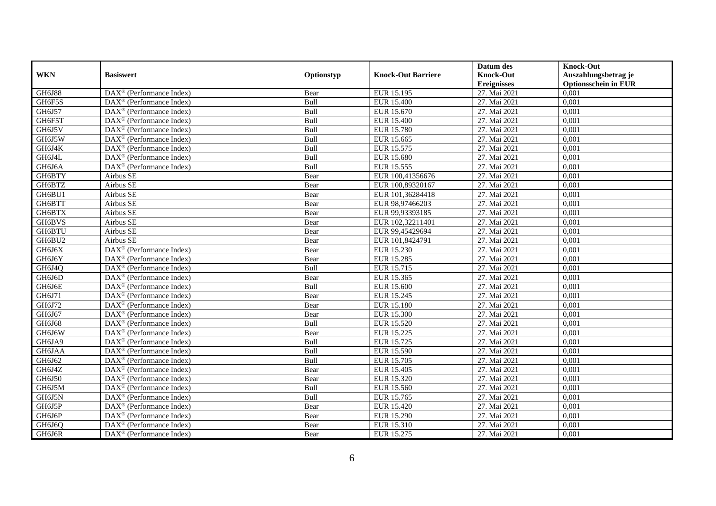|               |                                                       |             |                           | Datum des          | <b>Knock-Out</b>            |
|---------------|-------------------------------------------------------|-------------|---------------------------|--------------------|-----------------------------|
| <b>WKN</b>    | <b>Basiswert</b>                                      | Optionstyp  | <b>Knock-Out Barriere</b> | <b>Knock-Out</b>   | Auszahlungsbetrag je        |
|               |                                                       |             |                           | <b>Ereignisses</b> | <b>Optionsschein in EUR</b> |
| <b>GH6J88</b> | DAX <sup>®</sup> (Performance Index)                  | Bear        | EUR 15.195                | 27. Mai 2021       | 0,001                       |
| GH6F5S        | $DAX^{\circledast}$ (Performance Index)               | Bull        | <b>EUR 15.400</b>         | 27. Mai 2021       | 0,001                       |
| GH6J57        | $DAX^{\circledcirc}$ (Performance Index)              | Bull        | EUR 15.670                | 27. Mai 2021       | 0,001                       |
| GH6F5T        | $\text{DAX}^{\otimes}$ (Performance Index)            | Bull        | EUR 15.400                | 27. Mai 2021       | 0,001                       |
| GH6J5V        | DAX <sup>®</sup> (Performance Index)                  | <b>Bull</b> | <b>EUR 15.780</b>         | 27. Mai 2021       | 0,001                       |
| GH6J5W        | $DAX^{\circledR}$ (Performance Index)                 | Bull        | EUR 15.665                | 27. Mai 2021       | 0,001                       |
| GH6J4K        | $\overline{\text{DAX}^{\otimes}}$ (Performance Index) | <b>Bull</b> | EUR 15.575                | 27. Mai 2021       | 0,001                       |
| GH6J4L        | DAX <sup>®</sup> (Performance Index)                  | Bull        | <b>EUR 15.680</b>         | 27. Mai 2021       | 0,001                       |
| GH6J6A        | DAX <sup>®</sup> (Performance Index)                  | Bull        | EUR 15.555                | 27. Mai 2021       | 0,001                       |
| GH6BTY        | Airbus SE                                             | Bear        | EUR 100,41356676          | 27. Mai 2021       | 0,001                       |
| GH6BTZ        | Airbus SE                                             | Bear        | EUR 100,89320167          | 27. Mai 2021       | 0,001                       |
| GH6BU1        | Airbus SE                                             | Bear        | EUR 101,36284418          | 27. Mai 2021       | 0,001                       |
| GH6BTT        | Airbus SE                                             | Bear        | EUR 98,97466203           | 27. Mai 2021       | 0,001                       |
| GH6BTX        | Airbus SE                                             | Bear        | EUR 99,93393185           | 27. Mai 2021       | 0.001                       |
| GH6BVS        | Airbus SE                                             | Bear        | EUR 102,32211401          | 27. Mai 2021       | 0,001                       |
| GH6BTU        | Airbus SE                                             | Bear        | EUR 99,45429694           | 27. Mai 2021       | 0,001                       |
| GH6BU2        | Airbus SE                                             | Bear        | EUR 101,8424791           | 27. Mai 2021       | 0,001                       |
| GH6J6X        | DAX <sup>®</sup> (Performance Index)                  | Bear        | EUR 15.230                | 27. Mai 2021       | 0,001                       |
| GH6J6Y        | $DAX^{\circledcirc}$ (Performance Index)              | Bear        | EUR 15.285                | 27. Mai 2021       | 0,001                       |
| GH6J4Q        | $DAX^{\circledast}$ (Performance Index)               | Bull        | EUR 15.715                | 27. Mai 2021       | 0,001                       |
| GH6J6D        | $\text{DAX}^{\otimes}$ (Performance Index)            | Bear        | EUR 15.365                | 27. Mai 2021       | 0,001                       |
| GH6J6E        | $DAX^{\circledcirc}$ (Performance Index)              | <b>Bull</b> | EUR 15.600                | 27. Mai 2021       | 0,001                       |
| GH6J71        | $DAX^{\circledR}$ (Performance Index)                 | Bear        | EUR 15.245                | 27. Mai 2021       | 0,001                       |
| GH6J72        | $DAX^{\circledR}$ (Performance Index)                 | Bear        | <b>EUR 15.180</b>         | 27. Mai 2021       | 0,001                       |
| GH6J67        | $DAX^{\circledcirc}$ (Performance Index)              | Bear        | <b>EUR 15.300</b>         | 27. Mai 2021       | 0,001                       |
| GH6J68        | $DAX^{\circledast}$ (Performance Index)               | Bull        | EUR 15.520                | 27. Mai 2021       | 0,001                       |
| GH6J6W        | $\overline{\text{DAX}^{\otimes}}$ (Performance Index) | Bear        | EUR 15.225                | 27. Mai 2021       | 0,001                       |
| GH6JA9        | DAX <sup>®</sup> (Performance Index)                  | Bull        | EUR 15.725                | 27. Mai 2021       | 0,001                       |
| GH6JAA        | $DAX^{\circledast}$ (Performance Index)               | Bull        | <b>EUR 15.590</b>         | 27. Mai 2021       | 0,001                       |
| GH6J62        | $\text{DAX}^{\textcircled{}}$ (Performance Index)     | <b>Bull</b> | EUR 15.705                | 27. Mai 2021       | 0,001                       |
| GH6J4Z        | $DAX^{\circledR}$ (Performance Index)                 | Bear        | EUR 15.405                | 27. Mai 2021       | 0,001                       |
| GH6J50        | DAX <sup>®</sup> (Performance Index)                  | Bear        | EUR 15.320                | 27. Mai 2021       | 0,001                       |
| GH6J5M        | $DAX^{\circledR}$ (Performance Index)                 | Bull        | EUR 15.560                | 27. Mai 2021       | 0,001                       |
| GH6J5N        | DAX <sup>®</sup> (Performance Index)                  | Bull        | EUR 15.765                | 27. Mai 2021       | 0,001                       |
| GH6J5P        | $\text{DAX}^{\circledast}$ (Performance Index)        | Bear        | EUR 15.420                | 27. Mai 2021       | 0,001                       |
| GH6J6P        | $DAX^{\circledast}$ (Performance Index)               | Bear        | EUR 15.290                | 27. Mai 2021       | 0,001                       |
| GH6J6Q        | $DAX^{\circledast}$ (Performance Index)               | Bear        | EUR 15.310                | 27. Mai 2021       | 0,001                       |
| GH6J6R        | $\text{DAX}^{\textcircled{}}$ (Performance Index)     | Bear        | EUR 15.275                | 27. Mai 2021       | 0,001                       |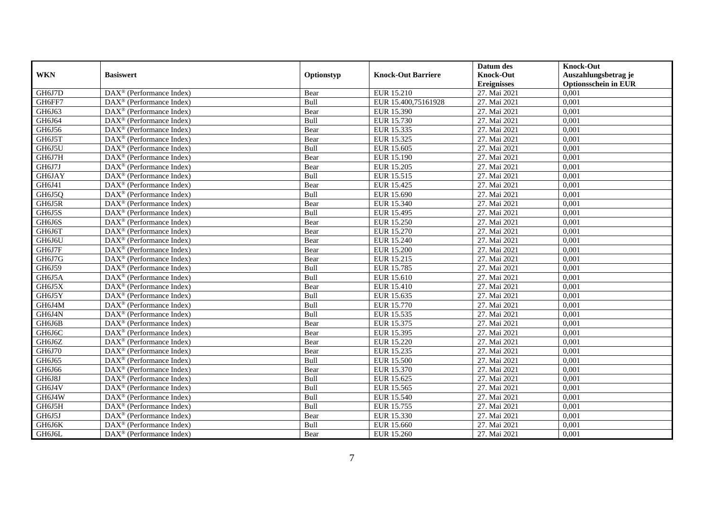|            |                                                              |             |                           | Datum des          | <b>Knock-Out</b>            |
|------------|--------------------------------------------------------------|-------------|---------------------------|--------------------|-----------------------------|
| <b>WKN</b> | <b>Basiswert</b>                                             | Optionstyp  | <b>Knock-Out Barriere</b> | <b>Knock-Out</b>   | Auszahlungsbetrag je        |
|            |                                                              |             |                           | <b>Ereignisses</b> | <b>Optionsschein in EUR</b> |
| GH6J7D     | $\overline{\text{DAX}^{\otimes}}$ (Performance Index)        | Bear        | EUR 15.210                | 27. Mai 2021       | 0,001                       |
| GH6FF7     | $DAX^{\circledast}$ (Performance Index)                      | Bull        | EUR 15.400,75161928       | 27. Mai 2021       | 0,001                       |
| GH6J63     | DAX <sup>®</sup> (Performance Index)                         | Bear        | EUR 15.390                | 27. Mai 2021       | 0,001                       |
| GH6J64     | $\text{DAX}^{\otimes}$ (Performance Index)                   | Bull        | EUR 15.730                | 27. Mai 2021       | 0,001                       |
| GH6J56     | DAX <sup>®</sup> (Performance Index)                         | Bear        | EUR 15.335                | 27. Mai 2021       | 0,001                       |
| GH6J5T     | $\text{DAX}^{\textcircled{}}$ (Performance Index)            | Bear        | EUR 15.325                | 27. Mai 2021       | 0,001                       |
| GH6J5U     | $DAX^{\circledast}$ (Performance Index)                      | <b>Bull</b> | EUR 15.605                | 27. Mai 2021       | 0,001                       |
| GH6J7H     | $DAX^{\circledR}$ (Performance Index)                        | Bear        | EUR 15.190                | 27. Mai 2021       | 0,001                       |
| GH6J7J     | $DAX^{\circledR}$ (Performance Index)                        | Bear        | <b>EUR 15.205</b>         | 27. Mai 2021       | 0,001                       |
| GH6JAY     | $DAX^{\circledR}$ (Performance Index)                        | Bull        | EUR 15.515                | 27. Mai 2021       | 0,001                       |
| GH6J41     | $\overline{\text{DAX}}^{\textcircled{}}$ (Performance Index) | Bear        | <b>EUR 15.425</b>         | 27. Mai 2021       | 0,001                       |
| GH6J5Q     | $\overline{\text{DAX}^{\otimes}}$ (Performance Index)        | Bull        | EUR 15.690                | 27. Mai 2021       | 0,001                       |
| GH6J5R     | $DAX^{\circledast}$ (Performance Index)                      | Bear        | EUR 15.340                | 27. Mai 2021       | 0,001                       |
| GH6J5S     | DAX <sup>®</sup> (Performance Index)                         | Bull        | EUR 15.495                | 27. Mai 2021       | 0,001                       |
| GH6J6S     | $\text{DAX}^{\otimes}$ (Performance Index)                   | Bear        | EUR 15.250                | 27. Mai 2021       | 0,001                       |
| GH6J6T     | DAX <sup>®</sup> (Performance Index)                         | Bear        | EUR 15.270                | 27. Mai 2021       | 0,001                       |
| GH6J6U     | $DAX^{\circledast}$ (Performance Index)                      | Bear        | <b>EUR 15.240</b>         | 27. Mai 2021       | 0,001                       |
| GH6J7F     | $\overline{\text{DAX}^{\otimes}}$ (Performance Index)        | Bear        | EUR 15.200                | 27. Mai 2021       | 0.001                       |
| GH6J7G     | $\text{DAX}^{\otimes}$ (Performance Index)                   | Bear        | EUR 15.215                | 27. Mai 2021       | 0,001                       |
| GH6J59     | DAX <sup>®</sup> (Performance Index)                         | Bull        | EUR 15.785                | 27. Mai 2021       | 0,001                       |
| GH6J5A     | DAX <sup>®</sup> (Performance Index)                         | Bull        | EUR 15.610                | 27. Mai 2021       | 0,001                       |
| GH6J5X     | $\overline{\text{DAX}^{\otimes}}$ (Performance Index)        | Bear        | <b>EUR 15.410</b>         | 27. Mai 2021       | 0,001                       |
| GH6J5Y     | $\text{DAX}^{\textcircled{}}$ (Performance Index)            | Bull        | EUR 15.635                | 27. Mai 2021       | 0,001                       |
| GH6J4M     | DAX <sup>®</sup> (Performance Index)                         | Bull        | EUR 15.770                | 27. Mai 2021       | 0,001                       |
| GH6J4N     | DAX <sup>®</sup> (Performance Index)                         | Bull        | EUR 15.535                | 27. Mai 2021       | 0,001                       |
| GH6J6B     | DAX <sup>®</sup> (Performance Index)                         | Bear        | EUR 15.375                | 27. Mai 2021       | 0,001                       |
| GH6J6C     | $DAX^{\circledast}$ (Performance Index)                      | Bear        | EUR 15.395                | 27. Mai 2021       | 0,001                       |
| GH6J6Z     | $DAX^{\circledcirc}$ (Performance Index)                     | Bear        | EUR 15.220                | 27. Mai 2021       | 0,001                       |
| GH6J70     | $DAX^{\circledR}$ (Performance Index)                        | Bear        | EUR 15.235                | 27. Mai 2021       | 0,001                       |
| GH6J65     | $DAX^{\circledR}$ (Performance Index)                        | Bull        | <b>EUR 15.500</b>         | 27. Mai 2021       | 0,001                       |
| GH6J66     | DAX <sup>®</sup> (Performance Index)                         | Bear        | EUR 15.370                | 27. Mai 2021       | 0,001                       |
| GH6J8J     | $\text{DAX}^{\otimes}$ (Performance Index)                   | Bull        | EUR 15.625                | 27. Mai 2021       | 0,001                       |
| GH6J4V     | $\overline{\text{DAX}^{\otimes}}$ (Performance Index)        | Bull        | EUR 15.565                | 27. Mai 2021       | 0,001                       |
| GH6J4W     | $\text{DAX}^{\textcircled{}}$ (Performance Index)            | Bull        | <b>EUR 15.540</b>         | 27. Mai 2021       | 0,001                       |
| GH6J5H     | $\text{DAX}^{\otimes}$ (Performance Index)                   | <b>Bull</b> | EUR 15.755                | 27. Mai 2021       | 0,001                       |
| GH6J5J     | $\text{DAX}^{\otimes}$ (Performance Index)                   | Bear        | EUR 15.330                | 27. Mai 2021       | 0,001                       |
| GH6J6K     | $DAX^{\circledast}$ (Performance Index)                      | Bull        | EUR 15.660                | 27. Mai 2021       | 0,001                       |
| GH6J6L     | $\text{DAX}^{\circledast}$ (Performance Index)               | Bear        | EUR 15.260                | 27. Mai 2021       | 0,001                       |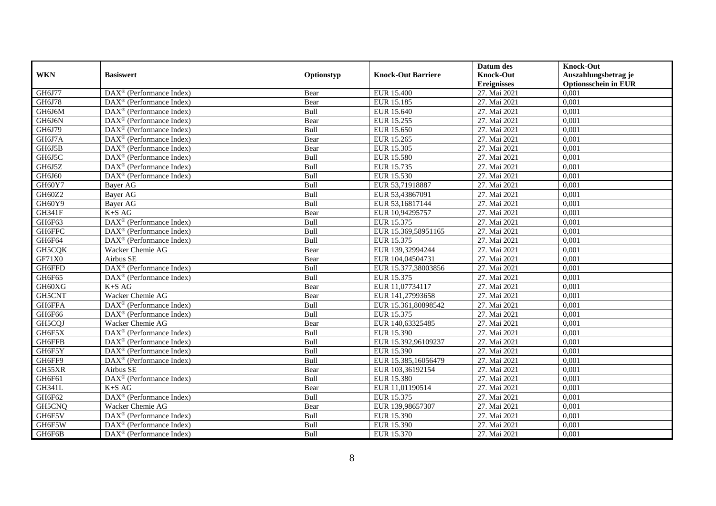|               |                                                       |             |                           | Datum des          | <b>Knock-Out</b>            |
|---------------|-------------------------------------------------------|-------------|---------------------------|--------------------|-----------------------------|
| <b>WKN</b>    | <b>Basiswert</b>                                      | Optionstyp  | <b>Knock-Out Barriere</b> | <b>Knock-Out</b>   | Auszahlungsbetrag je        |
|               |                                                       |             |                           | <b>Ereignisses</b> | <b>Optionsschein in EUR</b> |
| GH6J77        | DAX <sup>®</sup> (Performance Index)                  | Bear        | <b>EUR 15.400</b>         | 27. Mai 2021       | 0,001                       |
| GH6J78        | $DAX^{\circledast}$ (Performance Index)               | Bear        | <b>EUR 15.185</b>         | 27. Mai 2021       | 0,001                       |
| GH6J6M        | $DAX^{\circledcirc}$ (Performance Index)              | Bull        | EUR 15.640                | 27. Mai 2021       | 0,001                       |
| GH6J6N        | $DAX^{\circledast}$ (Performance Index)               | Bear        | EUR 15.255                | 27. Mai 2021       | 0,001                       |
| GH6J79        | DAX <sup>®</sup> (Performance Index)                  | <b>Bull</b> | EUR 15.650                | 27. Mai 2021       | 0,001                       |
| GH6J7A        | $DAX^{\circledR}$ (Performance Index)                 | Bear        | EUR 15.265                | 27. Mai 2021       | 0,001                       |
| GH6J5B        | $DAX^{\circledR}$ (Performance Index)                 | Bear        | EUR 15.305                | 27. Mai 2021       | 0,001                       |
| GH6J5C        | DAX <sup>®</sup> (Performance Index)                  | <b>Bull</b> | <b>EUR 15.580</b>         | 27. Mai 2021       | 0,001                       |
| GH6J5Z        | DAX <sup>®</sup> (Performance Index)                  | Bull        | EUR 15.735                | 27. Mai 2021       | 0,001                       |
| GH6J60        | DAX <sup>®</sup> (Performance Index)                  | Bull        | EUR 15.530                | 27. Mai 2021       | 0,001                       |
| GH60Y7        | Bayer AG                                              | Bull        | EUR 53,71918887           | 27. Mai 2021       | 0,001                       |
| GH60Z2        | Bayer AG                                              | Bull        | EUR 53,43867091           | 27. Mai 2021       | 0,001                       |
| GH60Y9        | Bayer AG                                              | <b>Bull</b> | EUR 53,16817144           | 27. Mai 2021       | 0,001                       |
| <b>GH341F</b> | $K+SAG$                                               | Bear        | EUR 10,94295757           | 27. Mai 2021       | 0.001                       |
| GH6F63        | $DAX^{\circledR}$ (Performance Index)                 | Bull        | EUR 15.375                | 27. Mai 2021       | 0,001                       |
| GH6FFC        | DAX <sup>®</sup> (Performance Index)                  | Bull        | EUR 15.369,58951165       | 27. Mai 2021       | 0,001                       |
| GH6F64        | DAX <sup>®</sup> (Performance Index)                  | Bull        | EUR 15.375                | 27. Mai 2021       | 0,001                       |
| GH5CQK        | Wacker Chemie AG                                      | Bear        | EUR 139,32994244          | 27. Mai 2021       | 0,001                       |
| GF71X0        | Airbus SE                                             | Bear        | EUR 104,04504731          | 27. Mai 2021       | 0,001                       |
| GH6FFD        | DAX <sup>®</sup> (Performance Index)                  | Bull        | EUR 15.377,38003856       | 27. Mai 2021       | 0,001                       |
| GH6F65        | DAX <sup>®</sup> (Performance Index)                  | Bull        | EUR 15.375                | 27. Mai 2021       | 0,001                       |
| GH60XG        | $K+SAG$                                               | Bear        | EUR 11,07734117           | 27. Mai 2021       | 0,001                       |
| GH5CNT        | Wacker Chemie AG                                      | Bear        | EUR 141,27993658          | 27. Mai 2021       | 0,001                       |
| GH6FFA        | $DAX^{\circledR}$ (Performance Index)                 | Bull        | EUR 15.361,80898542       | 27. Mai 2021       | 0,001                       |
| GH6F66        | $DAX^{\circledcirc}$ (Performance Index)              | Bull        | EUR 15.375                | 27. Mai 2021       | 0,001                       |
| GH5CQJ        | Wacker Chemie AG                                      | Bear        | EUR 140,63325485          | 27. Mai 2021       | 0,001                       |
| GH6F5X        | $\overline{\text{DAX}^{\otimes}}$ (Performance Index) | Bull        | EUR 15.390                | 27. Mai 2021       | 0,001                       |
| GH6FFB        | DAX <sup>®</sup> (Performance Index)                  | Bull        | EUR 15.392,96109237       | 27. Mai 2021       | 0,001                       |
| GH6F5Y        | $DAX^{\circledast}$ (Performance Index)               | Bull        | EUR 15.390                | 27. Mai 2021       | 0.001                       |
| GH6FF9        | $\text{DAX}^{\textcircled{}}$ (Performance Index)     | <b>Bull</b> | EUR 15.385,16056479       | 27. Mai 2021       | 0,001                       |
| GH55XR        | Airbus SE                                             | Bear        | EUR 103,36192154          | 27. Mai 2021       | 0,001                       |
| GH6F61        | DAX <sup>®</sup> (Performance Index)                  | Bull        | <b>EUR 15.380</b>         | 27. Mai 2021       | 0,001                       |
| <b>GH341L</b> | $K+SAG$                                               | Bear        | EUR 11,01190514           | 27. Mai 2021       | 0,001                       |
| GH6F62        | DAX <sup>®</sup> (Performance Index)                  | Bull        | EUR 15.375                | 27. Mai 2021       | 0,001                       |
| GH5CNQ        | Wacker Chemie AG                                      | Bear        | EUR 139,98657307          | 27. Mai 2021       | 0,001                       |
| GH6F5V        | $DAX^{\circledast}$ (Performance Index)               | Bull        | EUR 15.390                | 27. Mai 2021       | 0,001                       |
| GH6F5W        | $DAX^{\circledast}$ (Performance Index)               | Bull        | EUR 15.390                | 27. Mai 2021       | 0,001                       |
| GH6F6B        | $\text{DAX}^{\circledast}$ (Performance Index)        | Bull        | EUR 15.370                | 27. Mai 2021       | 0,001                       |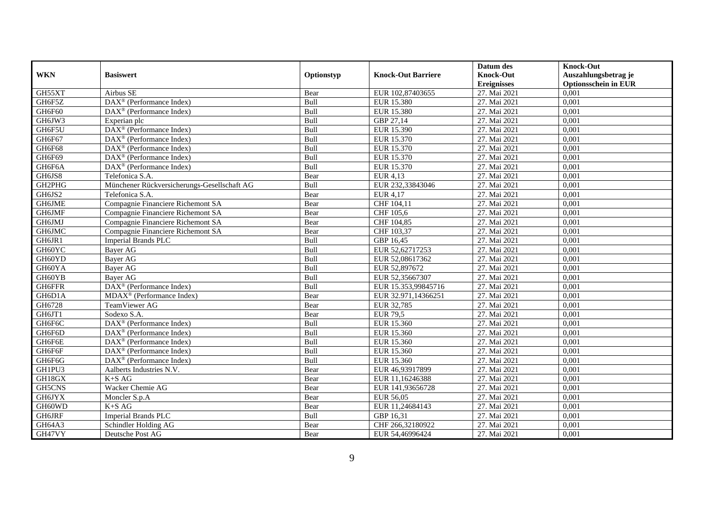|            |                                                            |             |                           | Datum des          | <b>Knock-Out</b>            |
|------------|------------------------------------------------------------|-------------|---------------------------|--------------------|-----------------------------|
| <b>WKN</b> | <b>Basiswert</b>                                           | Optionstyp  | <b>Knock-Out Barriere</b> | <b>Knock-Out</b>   | Auszahlungsbetrag je        |
|            |                                                            |             |                           | <b>Ereignisses</b> | <b>Optionsschein in EUR</b> |
| GH55XT     | Airbus SE                                                  | Bear        | EUR 102,87403655          | 27. Mai 2021       | 0,001                       |
| GH6F5Z     | $\overline{\text{DAX}^{\otimes}}$ (Performance Index)      | Bull        | <b>EUR 15.380</b>         | 27. Mai 2021       | 0,001                       |
| GH6F60     | DAX <sup>®</sup> (Performance Index)                       | Bull        | <b>EUR 15.380</b>         | 27. Mai 2021       | 0,001                       |
| GH6JW3     | Experian plc                                               | Bull        | GBP 27,14                 | 27. Mai 2021       | 0,001                       |
| GH6F5U     | DAX <sup>®</sup> (Performance Index)                       | Bull        | <b>EUR 15.390</b>         | 27. Mai 2021       | 0,001                       |
| GH6F67     | $\overline{\text{DAX}^{\otimes}}$ (Performance Index)      | Bull        | EUR 15.370                | 27. Mai 2021       | 0,001                       |
| GH6F68     | $DAX^{\circledast}$ (Performance Index)                    | Bull        | EUR 15.370                | 27. Mai 2021       | 0,001                       |
| GH6F69     | $DAX^{\circledR}$ (Performance Index)                      | Bull        | EUR 15.370                | 27. Mai 2021       | 0,001                       |
| GH6F6A     | $DAX^{\circledR}$ (Performance Index)                      | Bull        | EUR 15.370                | 27. Mai 2021       | 0,001                       |
| GH6JS8     | Telefonica S.A.                                            | <b>Bear</b> | <b>EUR 4,13</b>           | 27. Mai 2021       | 0,001                       |
| GH2PHG     | Münchener Rückversicherungs-Gesellschaft AG                | Bull        | EUR 232,33843046          | 27. Mai 2021       | 0,001                       |
| GH6JS2     | Telefonica S.A.                                            | Bear        | <b>EUR 4,17</b>           | 27. Mai 2021       | 0,001                       |
| GH6JME     | Compagnie Financiere Richemont SA                          | Bear        | CHF 104,11                | 27. Mai 2021       | 0,001                       |
| GH6JMF     | Compagnie Financiere Richemont SA                          | Bear        | CHF 105,6                 | 27. Mai 2021       | 0,001                       |
| GH6JMJ     | Compagnie Financiere Richemont SA                          | Bear        | CHF 104,85                | 27. Mai 2021       | 0,001                       |
| GH6JMC     | Compagnie Financiere Richemont SA                          | Bear        | CHF 103,37                | 27. Mai 2021       | 0,001                       |
| GH6JR1     | <b>Imperial Brands PLC</b>                                 | Bull        | GBP 16,45                 | 27. Mai 2021       | 0,001                       |
| GH60YC     | <b>Baver AG</b>                                            | <b>Bull</b> | EUR 52,62717253           | 27. Mai 2021       | 0,001                       |
| GH60YD     | <b>Bayer AG</b>                                            | Bull        | EUR 52,08617362           | 27. Mai 2021       | 0,001                       |
| GH60YA     | <b>Bayer AG</b>                                            | Bull        | EUR 52,897672             | 27. Mai 2021       | 0,001                       |
| GH60YB     | <b>Bayer AG</b>                                            | Bull        | EUR 52,35667307           | 27. Mai 2021       | 0,001                       |
| GH6FFR     | DAX <sup>®</sup> (Performance Index)                       | Bull        | EUR 15.353,99845716       | 27. Mai 2021       | 0,001                       |
| GH6D1A     | $\overline{\text{MD}}$ AX <sup>®</sup> (Performance Index) | Bear        | EUR 32.971,14366251       | 27. Mai 2021       | 0,001                       |
| GH6728     | TeamViewer AG                                              | Bear        | EUR 32,785                | 27. Mai 2021       | 0,001                       |
| GH6JT1     | Sodexo S.A.                                                | Bear        | <b>EUR 79,5</b>           | 27. Mai 2021       | 0,001                       |
| GH6F6C     | DAX <sup>®</sup> (Performance Index)                       | Bull        | EUR 15.360                | 27. Mai 2021       | 0,001                       |
| GH6F6D     | DAX <sup>®</sup> (Performance Index)                       | Bull        | EUR 15.360                | 27. Mai 2021       | 0,001                       |
| GH6F6E     | $DAX^{\circledR}$ (Performance Index)                      | Bull        | EUR 15.360                | 27. Mai 2021       | 0,001                       |
| GH6F6F     | $DAX^{\circledR}$ (Performance Index)                      | Bull        | EUR 15.360                | 27. Mai 2021       | 0,001                       |
| GH6F6G     | $DAX^{\circledR}$ (Performance Index)                      | Bull        | EUR 15.360                | 27. Mai 2021       | 0,001                       |
| GH1PU3     | Aalberts Industries N.V.                                   | Bear        | EUR 46,93917899           | 27. Mai 2021       | 0,001                       |
| GH18GX     | $K+SAG$                                                    | Bear        | EUR 11,16246388           | 27. Mai 2021       | 0,001                       |
| GH5CNS     | Wacker Chemie AG                                           | Bear        | EUR 141,93656728          | 27. Mai 2021       | 0,001                       |
| GH6JYX     | Moncler S.p.A                                              | Bear        | <b>EUR 56,05</b>          | 27. Mai 2021       | 0,001                       |
| GH60WD     | $K+SAG$                                                    | Bear        | EUR 11,24684143           | 27. Mai 2021       | 0,001                       |
| GH6JRF     | <b>Imperial Brands PLC</b>                                 | Bull        | GBP 16,31                 | 27. Mai 2021       | 0,001                       |
| GH64A3     | Schindler Holding AG                                       | Bear        | CHF 266,32180922          | 27. Mai 2021       | 0,001                       |
| GH47VY     | Deutsche Post AG                                           | Bear        | EUR 54,46996424           | 27. Mai 2021       | 0,001                       |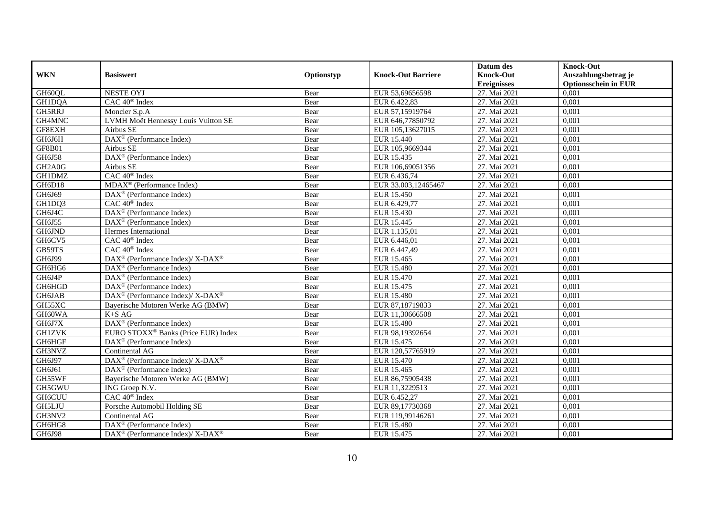|               |                                                          |            |                           | Datum des          | <b>Knock-Out</b>            |
|---------------|----------------------------------------------------------|------------|---------------------------|--------------------|-----------------------------|
| <b>WKN</b>    | <b>Basiswert</b>                                         | Optionstyp | <b>Knock-Out Barriere</b> | <b>Knock-Out</b>   | Auszahlungsbetrag je        |
|               |                                                          |            |                           | <b>Ereignisses</b> | <b>Optionsschein in EUR</b> |
| GH60QL        | <b>NESTE OYJ</b>                                         | Bear       | EUR 53,69656598           | 27. Mai 2021       | 0,001                       |
| GH1DQA        | CAC 40 <sup>®</sup> Index                                | Bear       | EUR 6.422,83              | 27. Mai 2021       | 0,001                       |
| GH5RRJ        | Moncler S.p.A                                            | Bear       | EUR 57,15919764           | 27. Mai 2021       | 0,001                       |
| GH4MNC        | LVMH Moët Hennessy Louis Vuitton SE                      | Bear       | EUR 646,77850792          | 27. Mai 2021       | 0.001                       |
| GF8EXH        | Airbus SE                                                | Bear       | EUR 105,13627015          | 27. Mai 2021       | 0,001                       |
| GH6J6H        | DAX <sup>®</sup> (Performance Index)                     | Bear       | <b>EUR 15.440</b>         | 27. Mai 2021       | 0,001                       |
| <b>GF8B01</b> | Airbus SE                                                | Bear       | EUR 105,9669344           | 27. Mai 2021       | 0,001                       |
| GH6J58        | DAX <sup>®</sup> (Performance Index)                     | Bear       | EUR 15.435                | 27. Mai 2021       | 0,001                       |
| GH2A0G        | Airbus SE                                                | Bear       | EUR 106,69051356          | 27. Mai 2021       | 0,001                       |
| GH1DMZ        | CAC 40 <sup>®</sup> Index                                | Bear       | EUR 6.436,74              | 27. Mai 2021       | 0.001                       |
| GH6D18        | $MDAX^{\circledR}$ (Performance Index)                   | Bear       | EUR 33.003,12465467       | 27. Mai 2021       | 0,001                       |
| GH6J69        | $\overline{\text{DAX}^{\otimes}}$ (Performance Index)    | Bear       | <b>EUR 15.450</b>         | 27. Mai 2021       | 0,001                       |
| GH1DQ3        | $CAC 40$ <sup>®</sup> Index                              | Bear       | EUR 6.429,77              | 27. Mai 2021       | 0,001                       |
| GH6J4C        | $DAX^{\otimes}$ (Performance Index)                      | Bear       | EUR 15.430                | 27. Mai 2021       | 0,001                       |
| GH6J55        | DAX <sup>®</sup> (Performance Index)                     | Bear       | EUR 15.445                | 27. Mai 2021       | 0,001                       |
| GH6JND        | Hermes International                                     | Bear       | EUR 1.135,01              | 27. Mai 2021       | 0,001                       |
| GH6CV5        | CAC 40 <sup>®</sup> Index                                | Bear       | EUR 6.446,01              | 27. Mai 2021       | 0,001                       |
| GB59TS        | $CAC 40$ <sup>®</sup> Index                              | Bear       | EUR 6.447.49              | 27. Mai 2021       | 0,001                       |
| GH6J99        | DAX <sup>®</sup> (Performance Index)/ X-DAX <sup>®</sup> | Bear       | EUR 15.465                | 27. Mai 2021       | 0,001                       |
| GH6HG6        | $DAX^{\circledast}$ (Performance Index)                  | Bear       | <b>EUR 15.480</b>         | 27. Mai 2021       | 0,001                       |
| GH6J4P        | DAX <sup>®</sup> (Performance Index)                     | Bear       | <b>EUR 15.470</b>         | 27. Mai 2021       | 0,001                       |
| <b>GH6HGD</b> | $\overline{\text{DAX}^{\otimes}}$ (Performance Index)    | Bear       | EUR 15.475                | 27. Mai 2021       | 0,001                       |
| GH6JAB        | DAX <sup>®</sup> (Performance Index)/ X-DAX <sup>®</sup> | Bear       | <b>EUR 15.480</b>         | 27. Mai 2021       | 0,001                       |
| GH55XC        | Bayerische Motoren Werke AG (BMW)                        | Bear       | EUR 87,18719833           | 27. Mai 2021       | 0,001                       |
| GH60WA        | $K+SAG$                                                  | Bear       | EUR 11,30666508           | 27. Mai 2021       | 0,001                       |
| GH6J7X        | DAX <sup>®</sup> (Performance Index)                     | Bear       | <b>EUR 15.480</b>         | 27. Mai 2021       | 0,001                       |
| <b>GH1ZVK</b> | EURO STOXX <sup>®</sup> Banks (Price EUR) Index          | Bear       | EUR 98,19392654           | 27. Mai 2021       | 0,001                       |
| <b>GH6HGF</b> | $\overline{\text{DAX}^{\otimes}}$ (Performance Index)    | Bear       | EUR 15.475                | 27. Mai 2021       | 0,001                       |
| GH3NVZ        | Continental AG                                           | Bear       | EUR 120,57765919          | 27. Mai 2021       | 0,001                       |
| GH6J97        | DAX <sup>®</sup> (Performance Index)/ X-DAX <sup>®</sup> | Bear       | EUR 15.470                | 27. Mai 2021       | 0,001                       |
| GH6J61        | DAX <sup>®</sup> (Performance Index)                     | Bear       | EUR 15.465                | 27. Mai 2021       | 0,001                       |
| GH55WF        | Bayerische Motoren Werke AG (BMW)                        | Bear       | EUR 86,75905438           | 27. Mai 2021       | 0.001                       |
| GH5GWU        | ING Groep N.V.                                           | Bear       | EUR 11,3229513            | 27. Mai 2021       | 0,001                       |
| <b>GH6CUU</b> | $CAC 40$ <sup>®</sup> Index                              | Bear       | EUR 6.452,27              | 27. Mai 2021       | 0,001                       |
| <b>GH5LJU</b> | Porsche Automobil Holding SE                             | Bear       | EUR 89,17730368           | 27. Mai 2021       | 0,001                       |
| GH3NV2        | Continental AG                                           | Bear       | EUR 119,99146261          | 27. Mai 2021       | 0,001                       |
| GH6HG8        | DAX <sup>®</sup> (Performance Index)                     | Bear       | EUR 15.480                | 27. Mai 2021       | 0,001                       |
| GH6J98        | DAX <sup>®</sup> (Performance Index)/ X-DAX <sup>®</sup> | Bear       | EUR 15.475                | 27. Mai 2021       | 0,001                       |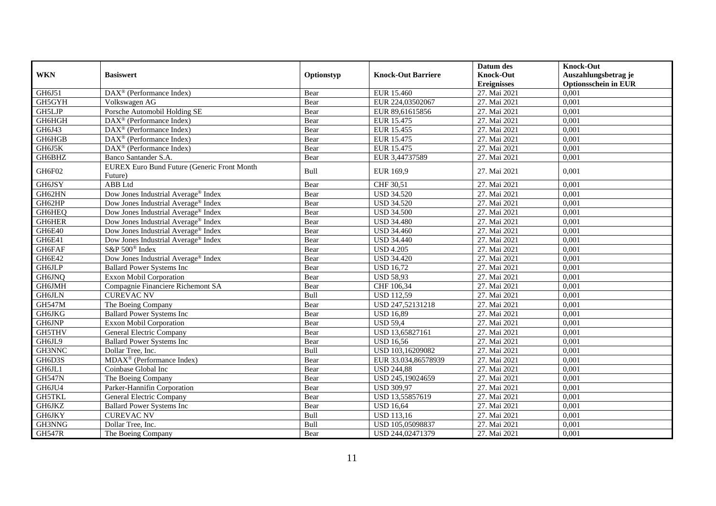|               |                                                               |            |                           | Datum des          | <b>Knock-Out</b>            |
|---------------|---------------------------------------------------------------|------------|---------------------------|--------------------|-----------------------------|
| <b>WKN</b>    | <b>Basiswert</b>                                              | Optionstyp | <b>Knock-Out Barriere</b> | <b>Knock-Out</b>   | Auszahlungsbetrag je        |
|               |                                                               |            |                           | <b>Ereignisses</b> | <b>Optionsschein in EUR</b> |
| GH6J51        | DAX <sup>®</sup> (Performance Index)                          | Bear       | EUR 15.460                | 27. Mai 2021       | 0,001                       |
| GH5GYH        | Volkswagen AG                                                 | Bear       | EUR 224,03502067          | 27. Mai 2021       | 0,001                       |
| <b>GH5LJP</b> | Porsche Automobil Holding SE                                  | Bear       | EUR 89,61615856           | 27. Mai 2021       | 0,001                       |
| GH6HGH        | DAX <sup>®</sup> (Performance Index)                          | Bear       | EUR 15.475                | 27. Mai 2021       | 0,001                       |
| GH6J43        | DAX <sup>®</sup> (Performance Index)                          | Bear       | EUR 15.455                | 27. Mai 2021       | 0,001                       |
| GH6HGB        | $\overline{\text{DAX}^{\otimes}}$ (Performance Index)         | Bear       | EUR 15.475                | 27. Mai 2021       | 0,001                       |
| GH6J5K        | $\overline{\text{DAX}^{\otimes}}$ (Performance Index)         | Bear       | EUR 15.475                | 27. Mai 2021       | 0,001                       |
| GH6BHZ        | Banco Santander S.A.                                          | Bear       | EUR 3,44737589            | 27. Mai 2021       | 0,001                       |
| GH6F02        | <b>EUREX Euro Bund Future (Generic Front Month</b><br>Future) | Bull       | EUR 169,9                 | 27. Mai 2021       | 0,001                       |
| GH6JSY        | ABB Ltd                                                       | Bear       | CHF 30,51                 | 27. Mai 2021       | 0,001                       |
| GH62HN        | Dow Jones Industrial Average® Index                           | Bear       | <b>USD 34.520</b>         | 27. Mai 2021       | 0,001                       |
| GH62HP        | Dow Jones Industrial Average <sup>®</sup> Index               | Bear       | <b>USD 34.520</b>         | 27. Mai 2021       | 0,001                       |
| GH6HEQ        | Dow Jones Industrial Average <sup>®</sup> Index               | Bear       | <b>USD 34.500</b>         | 27. Mai 2021       | 0,001                       |
| GH6HER        | Dow Jones Industrial Average® Index                           | Bear       | <b>USD 34.480</b>         | 27. Mai 2021       | 0,001                       |
| GH6E40        | Dow Jones Industrial Average® Index                           | Bear       | <b>USD 34.460</b>         | 27. Mai 2021       | 0,001                       |
| GH6E41        | Dow Jones Industrial Average® Index                           | Bear       | <b>USD 34.440</b>         | 27. Mai 2021       | 0,001                       |
| GH6FAF        | $S\&P 500^{\circ}$ Index                                      | Bear       | <b>USD 4.205</b>          | 27. Mai 2021       | 0.001                       |
| GH6E42        | Dow Jones Industrial Average <sup>®</sup> Index               | Bear       | <b>USD 34.420</b>         | 27. Mai 2021       | 0,001                       |
| <b>GH6JLP</b> | <b>Ballard Power Systems Inc</b>                              | Bear       | <b>USD 16,72</b>          | 27. Mai 2021       | 0,001                       |
| GH6JNQ        | <b>Exxon Mobil Corporation</b>                                | Bear       | <b>USD 58,93</b>          | 27. Mai 2021       | 0,001                       |
| GH6JMH        | Compagnie Financiere Richemont SA                             | Bear       | CHF 106,34                | 27. Mai 2021       | 0,001                       |
| <b>GH6JLN</b> | <b>CUREVAC NV</b>                                             | Bull       | <b>USD 112,59</b>         | 27. Mai 2021       | 0,001                       |
| <b>GH547M</b> | The Boeing Company                                            | Bear       | USD 247,52131218          | 27. Mai 2021       | 0,001                       |
| GH6JKG        | <b>Ballard Power Systems Inc</b>                              | Bear       | <b>USD 16,89</b>          | 27. Mai 2021       | 0,001                       |
| GH6JNP        | Exxon Mobil Corporation                                       | Bear       | <b>USD 59,4</b>           | 27. Mai 2021       | 0,001                       |
| <b>GH5THV</b> | General Electric Company                                      | Bear       | USD 13,65827161           | 27. Mai 2021       | 0,001                       |
| GH6JL9        | <b>Ballard Power Systems Inc</b>                              | Bear       | <b>USD 16.56</b>          | 27. Mai 2021       | 0,001                       |
| GH3NNC        | Dollar Tree, Inc.                                             | Bull       | USD 103,16209082          | 27. Mai 2021       | 0,001                       |
| GH6D3S        | MDAX <sup>®</sup> (Performance Index)                         | Bear       | EUR 33.034,86578939       | 27. Mai 2021       | 0,001                       |
| GH6JL1        | Coinbase Global Inc                                           | Bear       | <b>USD 244,88</b>         | 27. Mai 2021       | 0,001                       |
| <b>GH547N</b> | The Boeing Company                                            | Bear       | USD 245,19024659          | 27. Mai 2021       | 0,001                       |
| GH6JU4        | Parker-Hannifin Corporation                                   | Bear       | <b>USD 309,97</b>         | 27. Mai 2021       | 0,001                       |
| <b>GH5TKL</b> | <b>General Electric Company</b>                               | Bear       | USD 13,55857619           | 27. Mai 2021       | 0,001                       |
| GH6JKZ        | <b>Ballard Power Systems Inc</b>                              | Bear       | <b>USD 16,64</b>          | 27. Mai 2021       | 0,001                       |
| GH6JKY        | <b>CUREVAC NV</b>                                             | Bull       | <b>USD 113,16</b>         | 27. Mai 2021       | 0,001                       |
| GH3NNG        | Dollar Tree, Inc.                                             | Bull       | USD 105,05098837          | 27. Mai 2021       | 0,001                       |
| <b>GH547R</b> | The Boeing Company                                            | Bear       | USD 244,02471379          | 27. Mai 2021       | 0,001                       |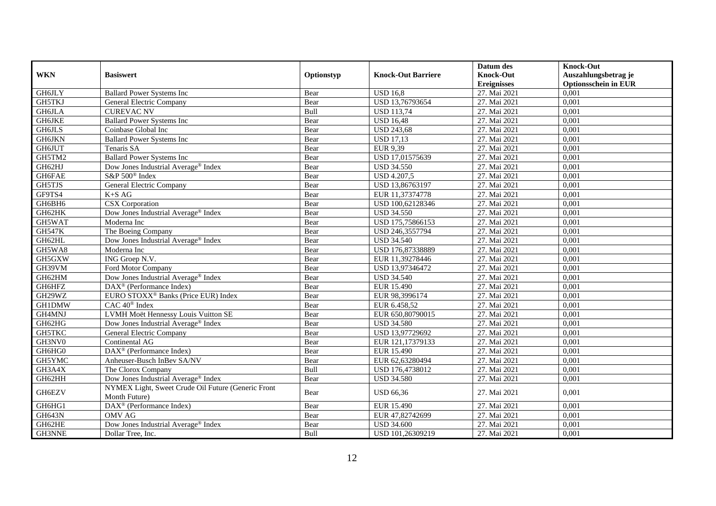|               |                                                    |             |                           | Datum des          | <b>Knock-Out</b>            |
|---------------|----------------------------------------------------|-------------|---------------------------|--------------------|-----------------------------|
| <b>WKN</b>    | <b>Basiswert</b>                                   | Optionstyp  | <b>Knock-Out Barriere</b> | <b>Knock-Out</b>   | Auszahlungsbetrag je        |
|               |                                                    |             |                           | <b>Ereignisses</b> | <b>Optionsschein in EUR</b> |
| GH6JLY        | <b>Ballard Power Systems Inc</b>                   | Bear        | <b>USD 16,8</b>           | 27. Mai 2021       | 0,001                       |
| GH5TKJ        | General Electric Company                           | Bear        | USD 13,76793654           | 27. Mai 2021       | 0,001                       |
| GH6JLA        | <b>CUREVAC NV</b>                                  | Bull        | <b>USD 113,74</b>         | 27. Mai 2021       | 0,001                       |
| GH6JKE        | <b>Ballard Power Systems Inc</b>                   | Bear        | <b>USD 16,48</b>          | 27. Mai 2021       | 0.001                       |
| GH6JLS        | Coinbase Global Inc                                | Bear        | <b>USD 243,68</b>         | 27. Mai 2021       | 0,001                       |
| <b>GH6JKN</b> | <b>Ballard Power Systems Inc</b>                   | Bear        | <b>USD 17,13</b>          | 27. Mai 2021       | 0,001                       |
| <b>GH6JUT</b> | Tenaris SA                                         | Bear        | EUR 9,39                  | 27. Mai 2021       | 0,001                       |
| GH5TM2        | <b>Ballard Power Systems Inc</b>                   | Bear        | USD 17,01575639           | 27. Mai 2021       | 0,001                       |
| GH62HJ        | Dow Jones Industrial Average® Index                | Bear        | <b>USD 34.550</b>         | 27. Mai 2021       | 0,001                       |
| GH6FAE        | S&P 500 <sup>®</sup> Index                         | Bear        | <b>USD 4.207,5</b>        | 27. Mai 2021       | 0.001                       |
| <b>GH5TJS</b> | General Electric Company                           | Bear        | USD 13,86763197           | 27. Mai 2021       | 0,001                       |
| GF9TS4        | $K+SAG$                                            | Bear        | EUR 11,37374778           | 27. Mai 2021       | 0,001                       |
| GH6BH6        | <b>CSX</b> Corporation                             | Bear        | USD 100,62128346          | 27. Mai 2021       | 0,001                       |
| GH62HK        | Dow Jones Industrial Average® Index                | Bear        | <b>USD 34.550</b>         | 27. Mai 2021       | 0,001                       |
| GH5WAT        | Moderna Inc                                        | Bear        | USD 175,75866153          | 27. Mai 2021       | 0,001                       |
| <b>GH547K</b> | The Boeing Company                                 | Bear        | USD 246,3557794           | 27. Mai 2021       | 0,001                       |
| GH62HL        | Dow Jones Industrial Average® Index                | Bear        | <b>USD 34.540</b>         | 27. Mai 2021       | 0,001                       |
| GH5WA8        | Moderna Inc                                        | Bear        | USD 176.87338889          | 27. Mai 2021       | 0,001                       |
| GH5GXW        | ING Groep N.V.                                     | Bear        | EUR 11,39278446           | 27. Mai 2021       | 0,001                       |
| GH39VM        | Ford Motor Company                                 | Bear        | USD 13,97346472           | 27. Mai 2021       | 0,001                       |
| GH62HM        | Dow Jones Industrial Average® Index                | Bear        | <b>USD 34.540</b>         | 27. Mai 2021       | 0,001                       |
| GH6HFZ        | DAX <sup>®</sup> (Performance Index)               | Bear        | <b>EUR 15.490</b>         | 27. Mai 2021       | 0,001                       |
| GH29WZ        | EURO STOXX <sup>®</sup> Banks (Price EUR) Index    | Bear        | EUR 98,3996174            | 27. Mai 2021       | 0,001                       |
| <b>GH1DMW</b> | CAC 40 <sup>®</sup> Index                          | Bear        | EUR 6.458,52              | 27. Mai 2021       | 0,001                       |
| GH4MNJ        | LVMH Moët Hennessy Louis Vuitton SE                | Bear        | EUR 650,80790015          | 27. Mai 2021       | 0,001                       |
| GH62HG        | Dow Jones Industrial Average® Index                | Bear        | <b>USD 34.580</b>         | 27. Mai 2021       | 0,001                       |
| <b>GH5TKC</b> | <b>General Electric Company</b>                    | Bear        | USD 13,97729692           | 27. Mai 2021       | 0,001                       |
| GH3NV0        | Continental AG                                     | Bear        | EUR 121,17379133          | 27. Mai 2021       | 0,001                       |
| GH6HG0        | DAX <sup>®</sup> (Performance Index)               | Bear        | EUR 15.490                | 27. Mai 2021       | 0,001                       |
| GH5YMC        | Anheuser-Busch InBev SA/NV                         | Bear        | EUR 62,63280494           | 27. Mai 2021       | 0,001                       |
| GH3A4X        | The Clorox Company                                 | Bull        | USD 176,4738012           | 27. Mai 2021       | 0,001                       |
| GH62HH        | Dow Jones Industrial Average® Index                | Bear        | <b>USD 34.580</b>         | 27. Mai 2021       | 0.001                       |
| GH6EZV        | NYMEX Light, Sweet Crude Oil Future (Generic Front | Bear        |                           | 27. Mai 2021       |                             |
|               | Month Future)                                      |             | <b>USD 66,36</b>          |                    | 0,001                       |
| GH6HG1        | DAX <sup>®</sup> (Performance Index)               | Bear        | EUR 15.490                | 27. Mai 2021       | 0,001                       |
| <b>GH643N</b> | <b>OMV AG</b>                                      | Bear        | EUR 47,82742699           | 27. Mai 2021       | 0,001                       |
| GH62HE        | Dow Jones Industrial Average <sup>®</sup> Index    | Bear        | <b>USD 34.600</b>         | 27. Mai 2021       | 0,001                       |
| GH3NNE        | Dollar Tree, Inc.                                  | <b>Bull</b> | USD 101,26309219          | 27. Mai 2021       | 0,001                       |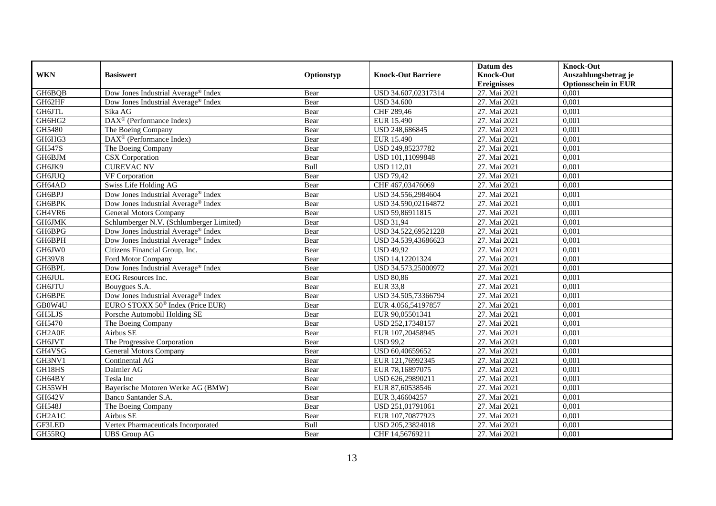|                     |                                              |            |                           | Datum des          | <b>Knock-Out</b>            |
|---------------------|----------------------------------------------|------------|---------------------------|--------------------|-----------------------------|
| <b>WKN</b>          | <b>Basiswert</b>                             | Optionstyp | <b>Knock-Out Barriere</b> | <b>Knock-Out</b>   | Auszahlungsbetrag je        |
|                     |                                              |            |                           | <b>Ereignisses</b> | <b>Optionsschein in EUR</b> |
| GH6BQB              | Dow Jones Industrial Average® Index          | Bear       | USD 34.607,02317314       | 27. Mai 2021       | 0,001                       |
| GH62HF              | Dow Jones Industrial Average® Index          | Bear       | <b>USD 34.600</b>         | 27. Mai 2021       | 0,001                       |
| GH6JTL              | Sika AG                                      | Bear       | CHF 289,46                | 27. Mai 2021       | 0,001                       |
| GH6HG2              | DAX <sup>®</sup> (Performance Index)         | Bear       | EUR 15.490                | 27. Mai 2021       | 0,001                       |
| GH5480              | The Boeing Company                           | Bear       | USD 248,686845            | 27. Mai 2021       | 0,001                       |
| GH6HG3              | DAX <sup>®</sup> (Performance Index)         | Bear       | EUR 15.490                | 27. Mai 2021       | 0,001                       |
| <b>GH547S</b>       | The Boeing Company                           | Bear       | USD 249,85237782          | 27. Mai 2021       | 0,001                       |
| GH6BJM              | CSX Corporation                              | Bear       | USD 101,11099848          | 27. Mai 2021       | 0,001                       |
| GH6JK9              | <b>CUREVAC NV</b>                            | Bull       | <b>USD 112,01</b>         | 27. Mai 2021       | 0,001                       |
| GH6JUQ              | VF Corporation                               | Bear       | <b>USD 79,42</b>          | 27. Mai 2021       | 0,001                       |
| GH64AD              | Swiss Life Holding AG                        | Bear       | CHF 467,03476069          | 27. Mai 2021       | 0,001                       |
| GH6BPJ              | Dow Jones Industrial Average® Index          | Bear       | USD 34.556,2984604        | 27. Mai 2021       | 0,001                       |
| GH6BPK              | Dow Jones Industrial Average® Index          | Bear       | USD 34.590,02164872       | 27. Mai 2021       | 0,001                       |
| GH4VR6              | <b>General Motors Company</b>                | Bear       | USD 59,86911815           | 27. Mai 2021       | 0.001                       |
| GH6JMK              | Schlumberger N.V. (Schlumberger Limited)     | Bear       | <b>USD 31,94</b>          | 27. Mai 2021       | 0,001                       |
| GH6BPG              | Dow Jones Industrial Average® Index          | Bear       | USD 34.522,69521228       | 27. Mai 2021       | 0,001                       |
| GH6BPH              | Dow Jones Industrial Average® Index          | Bear       | USD 34.539,43686623       | 27. Mai 2021       | 0,001                       |
| GH6JW0              | Citizens Financial Group, Inc.               | Bear       | <b>USD 49,92</b>          | 27. Mai 2021       | 0,001                       |
| <b>GH39V8</b>       | Ford Motor Company                           | Bear       | USD 14,12201324           | 27. Mai 2021       | 0,001                       |
| GH6BPL              | Dow Jones Industrial Average® Index          | Bear       | USD 34.573,25000972       | 27. Mai 2021       | 0,001                       |
| <b>GH6JUL</b>       | EOG Resources Inc.                           | Bear       | <b>USD 80,86</b>          | 27. Mai 2021       | 0,001                       |
| <b>GH6JTU</b>       | Bouvgues S.A.                                | Bear       | <b>EUR 33,8</b>           | 27. Mai 2021       | 0,001                       |
| GH6BPE              | Dow Jones Industrial Average® Index          | Bear       | USD 34.505,73366794       | 27. Mai 2021       | 0,001                       |
| GB0W4U              | EURO STOXX 50 <sup>®</sup> Index (Price EUR) | Bear       | EUR 4.056,54197857        | 27. Mai 2021       | 0,001                       |
| GH5LJS              | Porsche Automobil Holding SE                 | Bear       | EUR 90,05501341           | 27. Mai 2021       | 0,001                       |
| GH5470              | The Boeing Company                           | Bear       | USD 252,17348157          | 27. Mai 2021       | 0,001                       |
| GH <sub>2</sub> A0E | Airbus SE                                    | Bear       | EUR 107,20458945          | 27. Mai 2021       | 0,001                       |
| <b>GH6JVT</b>       | The Progressive Corporation                  | Bear       | <b>USD 99,2</b>           | 27. Mai 2021       | 0,001                       |
| GH4VSG              | General Motors Company                       | Bear       | USD 60,40659652           | 27. Mai 2021       | 0,001                       |
| GH3NV1              | Continental AG                               | Bear       | EUR 121,76992345          | 27. Mai 2021       | 0,001                       |
| GH18HS              | Daimler AG                                   | Bear       | EUR 78,16897075           | 27. Mai 2021       | 0,001                       |
| GH64BY              | Tesla Inc                                    | Bear       | USD 626,29890211          | 27. Mai 2021       | 0,001                       |
| GH55WH              | Bayerische Motoren Werke AG (BMW)            | Bear       | EUR 87,60538546           | 27. Mai 2021       | 0,001                       |
| GH642V              | Banco Santander S.A.                         | Bear       | EUR 3,46604257            | 27. Mai 2021       | 0,001                       |
| GH548J              | The Boeing Company                           | Bear       | USD 251,01791061          | 27. Mai 2021       | 0,001                       |
| GH2A1C              | Airbus SE                                    | Bear       | EUR 107,70877923          | 27. Mai 2021       | 0,001                       |
| GF3LED              | Vertex Pharmaceuticals Incorporated          | Bull       | USD 205,23824018          | 27. Mai 2021       | 0,001                       |
| GH55RQ              | <b>UBS</b> Group AG                          | Bear       | CHF 14,56769211           | 27. Mai 2021       | 0,001                       |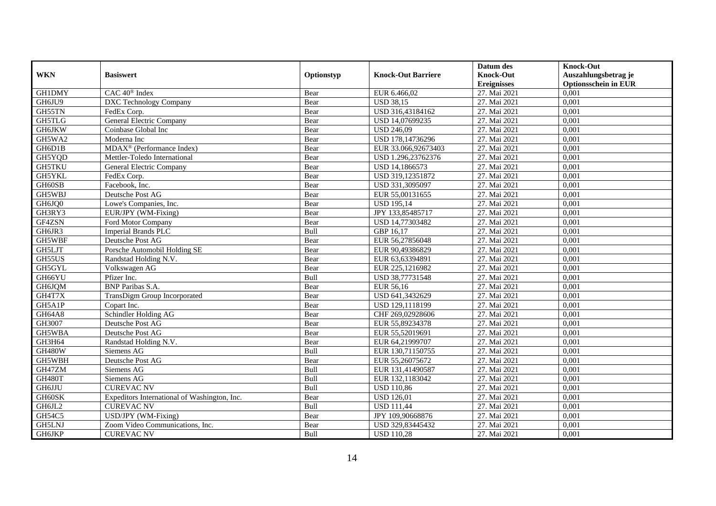|               |                                                           |             |                           | Datum des          | <b>Knock-Out</b>            |
|---------------|-----------------------------------------------------------|-------------|---------------------------|--------------------|-----------------------------|
| <b>WKN</b>    | <b>Basiswert</b>                                          | Optionstyp  | <b>Knock-Out Barriere</b> | <b>Knock-Out</b>   | Auszahlungsbetrag je        |
|               |                                                           |             |                           | <b>Ereignisses</b> | <b>Optionsschein in EUR</b> |
| GH1DMY        | CAC 40 <sup>®</sup> Index                                 | Bear        | EUR 6.466,02              | 27. Mai 2021       | 0,001                       |
| GH6JU9        | <b>DXC Technology Company</b>                             | Bear        | <b>USD 38,15</b>          | 27. Mai 2021       | 0,001                       |
| GH55TN        | FedEx Corp.                                               | Bear        | USD 316,43184162          | 27. Mai 2021       | 0,001                       |
| GH5TLG        | General Electric Company                                  | Bear        | USD 14,07699235           | 27. Mai 2021       | 0,001                       |
| <b>GH6JKW</b> | Coinbase Global Inc                                       | Bear        | <b>USD 246,09</b>         | 27. Mai 2021       | 0,001                       |
| GH5WA2        | Moderna Inc                                               | Bear        | USD 178,14736296          | 27. Mai 2021       | 0,001                       |
| GH6D1B        | $\overline{\text{MDAX}}$ <sup>®</sup> (Performance Index) | Bear        | EUR 33.066,92673403       | 27. Mai 2021       | 0,001                       |
| GH5YQD        | Mettler-Toledo International                              | Bear        | USD 1.296,23762376        | 27. Mai 2021       | 0,001                       |
| <b>GH5TKU</b> | General Electric Company                                  | Bear        | USD 14,1866573            | 27. Mai 2021       | 0,001                       |
| GH5YKL        | FedEx Corp.                                               | Bear        | USD 319,12351872          | 27. Mai 2021       | 0,001                       |
| GH60SB        | Facebook, Inc.                                            | Bear        | USD 331,3095097           | 27. Mai 2021       | 0,001                       |
| GH5WBJ        | Deutsche Post AG                                          | Bear        | EUR 55,00131655           | 27. Mai 2021       | 0,001                       |
| GH6JQ0        | Lowe's Companies, Inc.                                    | Bear        | <b>USD 195,14</b>         | 27. Mai 2021       | 0,001                       |
| GH3RY3        | EUR/JPY (WM-Fixing)                                       | Bear        | JPY 133,85485717          | 27. Mai 2021       | 0,001                       |
| GF4ZSN        | Ford Motor Company                                        | Bear        | USD 14,77303482           | 27. Mai 2021       | 0,001                       |
| GH6JR3        | Imperial Brands PLC                                       | <b>Bull</b> | GBP 16,17                 | 27. Mai 2021       | 0,001                       |
| GH5WBF        | Deutsche Post AG                                          | Bear        | EUR 56,27856048           | 27. Mai 2021       | 0,001                       |
| GH5LJT        | Porsche Automobil Holding SE                              | Bear        | EUR 90.49386829           | 27. Mai 2021       | 0,001                       |
| GH55US        | Randstad Holding N.V.                                     | Bear        | EUR 63,63394891           | 27. Mai 2021       | 0,001                       |
| GH5GYL        | Volkswagen AG                                             | Bear        | EUR 225,1216982           | 27. Mai 2021       | 0,001                       |
| GH66YU        | Pfizer Inc.                                               | Bull        | USD 38,77731548           | 27. Mai 2021       | 0,001                       |
| GH6JQM        | <b>BNP</b> Paribas S.A.                                   | Bear        | EUR 56,16                 | 27. Mai 2021       | 0,001                       |
| GH4T7X        | TransDigm Group Incorporated                              | Bear        | USD 641,3432629           | 27. Mai 2021       | 0,001                       |
| GH5A1P        | Copart Inc.                                               | Bear        | USD 129,1118199           | 27. Mai 2021       | 0,001                       |
| <b>GH64A8</b> | Schindler Holding AG                                      | Bear        | CHF 269,02928606          | 27. Mai 2021       | 0,001                       |
| GH3007        | Deutsche Post AG                                          | Bear        | EUR 55,89234378           | 27. Mai 2021       | 0,001                       |
| GH5WBA        | Deutsche Post AG                                          | Bear        | EUR 55,52019691           | 27. Mai 2021       | 0,001                       |
| GH3H64        | Randstad Holding N.V.                                     | Bear        | EUR 64,21999707           | 27. Mai 2021       | 0,001                       |
| <b>GH480W</b> | Siemens AG                                                | <b>Bull</b> | EUR 130,71150755          | 27. Mai 2021       | 0,001                       |
| GH5WBH        | Deutsche Post AG                                          | Bear        | EUR 55,26075672           | 27. Mai 2021       | 0,001                       |
| GH47ZM        | Siemens AG                                                | Bull        | EUR 131,41490587          | 27. Mai 2021       | 0,001                       |
| GH480T        | Siemens AG                                                | Bull        | EUR 132,1183042           | 27. Mai 2021       | 0,001                       |
| GH6JJU        | <b>CUREVAC NV</b>                                         | Bull        | <b>USD 110,86</b>         | 27. Mai 2021       | 0,001                       |
| GH60SK        | Expeditors International of Washington, Inc.              | Bear        | <b>USD</b> 126,01         | 27. Mai 2021       | 0,001                       |
| GH6JL2        | <b>CUREVAC NV</b>                                         | <b>Bull</b> | <b>USD 111,44</b>         | 27. Mai 2021       | 0,001                       |
| GH54C5        | USD/JPY (WM-Fixing)                                       | Bear        | JPY 109,90668876          | 27. Mai 2021       | 0,001                       |
| GH5LNJ        | Zoom Video Communications, Inc.                           | Bear        | USD 329,83445432          | 27. Mai 2021       | 0,001                       |
| <b>GH6JKP</b> | <b>CUREVAC NV</b>                                         | <b>Bull</b> | <b>USD 110,28</b>         | 27. Mai 2021       | 0,001                       |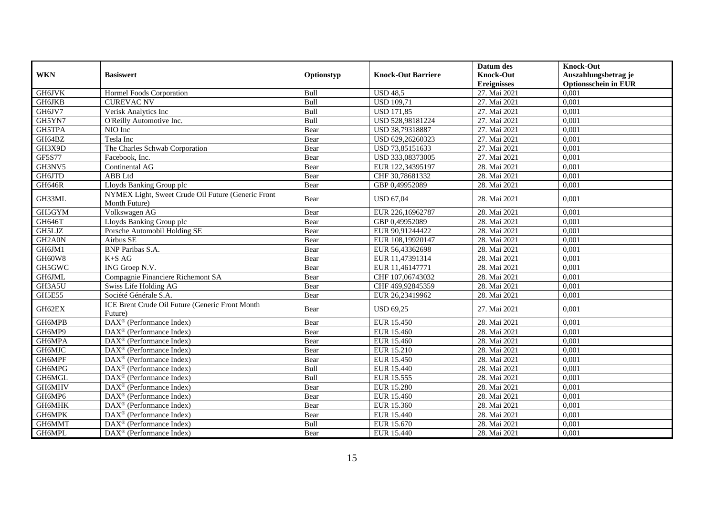|                     |                                                                     |             |                           | Datum des          | <b>Knock-Out</b>            |
|---------------------|---------------------------------------------------------------------|-------------|---------------------------|--------------------|-----------------------------|
| <b>WKN</b>          | <b>Basiswert</b>                                                    | Optionstyp  | <b>Knock-Out Barriere</b> | <b>Knock-Out</b>   | Auszahlungsbetrag je        |
|                     |                                                                     |             |                           | <b>Ereignisses</b> | <b>Optionsschein in EUR</b> |
| GH6JVK              | Hormel Foods Corporation                                            | <b>Bull</b> | <b>USD 48,5</b>           | 27. Mai 2021       | 0,001                       |
| GH6JKB              | <b>CUREVAC NV</b>                                                   | <b>Bull</b> | <b>USD 109,71</b>         | 27. Mai 2021       | 0,001                       |
| GH6JV7              | Verisk Analytics Inc                                                | Bull        | <b>USD 171,85</b>         | 27. Mai 2021       | 0,001                       |
| GH5YN7              | O'Reilly Automotive Inc.                                            | Bull        | USD 528,98181224          | 27. Mai 2021       | 0,001                       |
| GH5TPA              | NIO Inc                                                             | Bear        | USD 38,79318887           | 27. Mai 2021       | 0,001                       |
| GH64BZ              | Tesla Inc                                                           | Bear        | USD 629,26260323          | 27. Mai 2021       | 0,001                       |
| GH3X9D              | The Charles Schwab Corporation                                      | Bear        | USD 73,85151633           | 27. Mai 2021       | 0,001                       |
| GF5S77              | Facebook, Inc.                                                      | Bear        | USD 333,08373005          | 27. Mai 2021       | 0,001                       |
| GH3NV5              | Continental AG                                                      | Bear        | EUR 122,34395197          | 28. Mai 2021       | 0,001                       |
| GH6JTD              | ABB Ltd                                                             | Bear        | CHF 30,78681332           | 28. Mai 2021       | 0,001                       |
| GH646R              | Lloyds Banking Group plc                                            | Bear        | GBP 0,49952089            | 28. Mai 2021       | 0,001                       |
| GH33ML              | NYMEX Light, Sweet Crude Oil Future (Generic Front<br>Month Future) | Bear        | <b>USD 67.04</b>          | 28. Mai 2021       | 0.001                       |
| GH5GYM              | Volkswagen AG                                                       | Bear        | EUR 226,16962787          | 28. Mai 2021       | 0,001                       |
| GH646T              | Lloyds Banking Group plc                                            | Bear        | GBP 0,49952089            | 28. Mai 2021       | 0,001                       |
| GH5LJZ              | Porsche Automobil Holding SE                                        | Bear        | EUR 90,91244422           | 28. Mai 2021       | 0,001                       |
| GH <sub>2</sub> A0N | Airbus SE                                                           | Bear        | EUR 108,19920147          | 28. Mai 2021       | 0,001                       |
| GH6JM1              | <b>BNP</b> Paribas S.A.                                             | Bear        | EUR 56.43362698           | 28. Mai 2021       | 0.001                       |
| GH60W8              | $K+SAG$                                                             | Bear        | EUR 11,47391314           | 28. Mai 2021       | 0,001                       |
| GH5GWC              | ING Groep N.V.                                                      | Bear        | EUR 11,46147771           | 28. Mai 2021       | 0,001                       |
| GH6JML              | Compagnie Financiere Richemont SA                                   | Bear        | CHF 107,06743032          | 28. Mai 2021       | 0,001                       |
| GH3A5U              | Swiss Life Holding AG                                               | Bear        | CHF 469,92845359          | 28. Mai 2021       | 0,001                       |
| GH5E55              | Société Générale S.A.                                               | Bear        | EUR 26,23419962           | 28. Mai 2021       | 0.001                       |
| GH62EX              | ICE Brent Crude Oil Future (Generic Front Month<br>Future)          | Bear        | <b>USD 69,25</b>          | 27. Mai 2021       | 0,001                       |
| GH6MPB              | DAX <sup>®</sup> (Performance Index)                                | Bear        | <b>EUR 15.450</b>         | 28. Mai 2021       | 0,001                       |
| GH6MP9              | DAX <sup>®</sup> (Performance Index)                                | Bear        | EUR 15.460                | 28. Mai 2021       | 0,001                       |
| GH6MPA              | $\overline{\text{DAX}^{\otimes}}$ (Performance Index)               | Bear        | EUR 15.460                | 28. Mai 2021       | 0.001                       |
| GH6MJC              | $DAX^{\circledR}$ (Performance Index)                               | Bear        | <b>EUR 15.210</b>         | 28. Mai 2021       | 0,001                       |
| <b>GH6MPF</b>       | $DAX^{\circledR}$ (Performance Index)                               | Bear        | EUR 15.450                | 28. Mai 2021       | 0,001                       |
| GH6MPG              | DAX <sup>®</sup> (Performance Index)                                | Bull        | EUR 15.440                | 28. Mai 2021       | 0,001                       |
| GH6MGL              | DAX <sup>®</sup> (Performance Index)                                | Bull        | EUR 15.555                | 28. Mai 2021       | 0,001                       |
| GH6MHV              | $\overline{\text{DAX}}^{\textcirc}$ (Performance Index)             | Bear        | <b>EUR 15.280</b>         | 28. Mai 2021       | 0,001                       |
| GH6MP6              | $\text{DAX}^{\otimes}$ (Performance Index)                          | Bear        | EUR 15.460                | 28. Mai 2021       | 0,001                       |
| GH6MHK              | DAX <sup>®</sup> (Performance Index)                                | Bear        | <b>EUR 15.360</b>         | 28. Mai 2021       | 0,001                       |
| GH6MPK              | $\overline{\text{DAX}^{\otimes}}$ (Performance Index)               | Bear        | <b>EUR 15.440</b>         | 28. Mai 2021       | 0,001                       |
| GH6MMT              | DAX <sup>®</sup> (Performance Index)                                | Bull        | EUR 15.670                | 28. Mai 2021       | 0,001                       |
| GH6MPL              | DAX <sup>®</sup> (Performance Index)                                | Bear        | EUR 15.440                | 28. Mai 2021       | 0,001                       |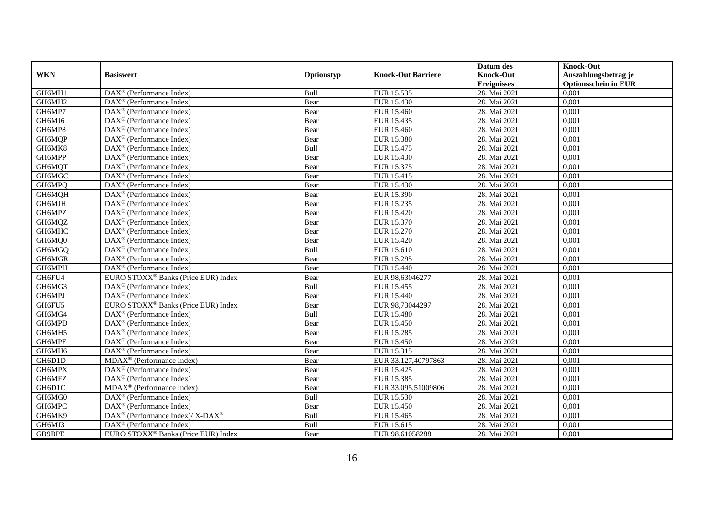|            |                                                                 |             |                           | Datum des          | <b>Knock-Out</b>            |
|------------|-----------------------------------------------------------------|-------------|---------------------------|--------------------|-----------------------------|
| <b>WKN</b> | <b>Basiswert</b>                                                | Optionstyp  | <b>Knock-Out Barriere</b> | <b>Knock-Out</b>   | Auszahlungsbetrag je        |
|            |                                                                 |             |                           | <b>Ereignisses</b> | <b>Optionsschein in EUR</b> |
| GH6MH1     | DAX <sup>®</sup> (Performance Index)                            | Bull        | EUR 15.535                | 28. Mai 2021       | 0,001                       |
| GH6MH2     | $\text{DAX}^{\otimes}$ (Performance Index)                      | Bear        | EUR 15.430                | 28. Mai 2021       | 0,001                       |
| GH6MP7     | $DAX^{\circledR}$ (Performance Index)                           | Bear        | EUR 15.460                | 28. Mai 2021       | 0,001                       |
| GH6MJ6     | $\text{DAX}^{\otimes}$ (Performance Index)                      | Bear        | EUR 15.435                | 28. Mai 2021       | 0,001                       |
| GH6MP8     | DAX <sup>®</sup> (Performance Index)                            | Bear        | EUR 15.460                | 28. Mai 2021       | 0,001                       |
| GH6MQP     | $DAX^{\circledR}$ (Performance Index)                           | Bear        | EUR 15.380                | 28. Mai 2021       | 0,001                       |
| GH6MK8     | $DAX^{\circledR}$ (Performance Index)                           | Bull        | EUR 15.475                | 28. Mai 2021       | 0,001                       |
| GH6MPP     | $\text{DAX}^{\otimes}$ (Performance Index)                      | Bear        | EUR 15.430                | 28. Mai 2021       | 0,001                       |
| GH6MQT     | $DAX^{\circledast}$ (Performance Index)                         | Bear        | EUR 15.375                | 28. Mai 2021       | 0,001                       |
| GH6MGC     | $DAX^{\circledast}$ (Performance Index)                         | Bear        | EUR 15.415                | 28. Mai 2021       | 0,001                       |
| GH6MPQ     | DAX <sup>®</sup> (Performance Index)                            | Bear        | EUR 15.430                | 28. Mai 2021       | 0,001                       |
| GH6MQH     | $\overline{\text{DAX}}^{\textcirc}$ (Performance Index)         | Bear        | EUR 15.390                | 28. Mai 2021       | 0,001                       |
| GH6MJH     | $\text{DAX}^{\otimes}$ (Performance Index)                      | Bear        | EUR 15.235                | 28. Mai 2021       | 0,001                       |
| GH6MPZ     | $DAX^{\circledR}$ (Performance Index)                           | Bear        | EUR 15.420                | 28. Mai 2021       | 0,001                       |
| GH6MQZ     | $\text{DAX}^{\otimes}$ (Performance Index)                      | Bear        | EUR 15.370                | 28. Mai 2021       | 0,001                       |
| GH6MHC     | $\text{DAX}^{\otimes}$ (Performance Index)                      | Bear        | EUR 15.270                | 28. Mai 2021       | 0,001                       |
| GH6MQ0     | DAX <sup>®</sup> (Performance Index)                            | Bear        | EUR 15.420                | 28. Mai 2021       | 0,001                       |
| GH6MGQ     | $DAX^{\circledR}$ (Performance Index)                           | Bull        | EUR 15.610                | 28. Mai 2021       | 0,001                       |
| GH6MGR     | DAX <sup>®</sup> (Performance Index)                            | Bear        | EUR 15.295                | 28. Mai 2021       | 0,001                       |
| GH6MPH     | $DAX^{\circledast}$ (Performance Index)                         | Bear        | <b>EUR 15.440</b>         | 28. Mai 2021       | 0,001                       |
| GH6FU4     | EURO STOXX <sup>®</sup> Banks (Price EUR) Index                 | Bear        | EUR 98,63046277           | 28. Mai 2021       | 0,001                       |
| GH6MG3     | $\overline{\text{DAX}^{\otimes}}$ (Performance Index)           | Bull        | <b>EUR 15.455</b>         | 28. Mai 2021       | 0,001                       |
| GH6MPJ     | DAX <sup>®</sup> (Performance Index)                            | Bear        | EUR 15.440                | 28. Mai 2021       | 0,001                       |
| GH6FU5     | EURO STOXX <sup>®</sup> Banks (Price EUR) Index                 | Bear        | EUR 98,73044297           | 28. Mai 2021       | 0,001                       |
| GH6MG4     | $DAX^{\circledR}$ (Performance Index)                           | <b>Bull</b> | EUR 15.480                | 28. Mai 2021       | 0,001                       |
| GH6MPD     | $\text{DAX}^{\otimes}$ (Performance Index)                      | Bear        | EUR 15.450                | 28. Mai 2021       | 0,001                       |
| GH6MH5     | DAX <sup>®</sup> (Performance Index)                            | Bear        | <b>EUR 15.285</b>         | 28. Mai 2021       | 0,001                       |
| GH6MPE     | $DAX^{\circledR}$ (Performance Index)                           | Bear        | <b>EUR 15.450</b>         | 28. Mai 2021       | 0,001                       |
| GH6MH6     | DAX <sup>®</sup> (Performance Index)                            | Bear        | EUR 15.315                | 28. Mai 2021       | 0,001                       |
| GH6D1D     | $MDAX^{\circledR}$ (Performance Index)                          | Bear        | EUR 33.127,40797863       | 28. Mai 2021       | 0,001                       |
| GH6MPX     | $DAX^{\circledast}$ (Performance Index)                         | Bear        | EUR 15.425                | 28. Mai 2021       | 0,001                       |
| GH6MFZ     | $DAX^{\circledR}$ (Performance Index)                           | Bear        | EUR 15.385                | 28. Mai 2021       | 0.001                       |
| GH6D1C     | MDAX <sup>®</sup> (Performance Index)                           | Bear        | EUR 33.095,51009806       | 28. Mai 2021       | 0,001                       |
| GH6MG0     | $\overline{\text{DAX}^{\circledast}(\text{Performance Index})}$ | Bull        | EUR 15.530                | 28. Mai 2021       | 0,001                       |
| GH6MPC     | DAX <sup>®</sup> (Performance Index)                            | Bear        | <b>EUR 15.450</b>         | 28. Mai 2021       | 0,001                       |
| GH6MK9     | $DAX^{\circledast}$ (Performance Index)/ X-DAX <sup>®</sup>     | Bull        | EUR 15.465                | 28. Mai 2021       | 0,001                       |
| GH6MJ3     | DAX <sup>®</sup> (Performance Index)                            | Bull        | EUR 15.615                | 28. Mai 2021       | 0,001                       |
| GB9BPE     | EURO STOXX <sup>®</sup> Banks (Price EUR) Index                 | Bear        | EUR 98,61058288           | 28. Mai 2021       | 0,001                       |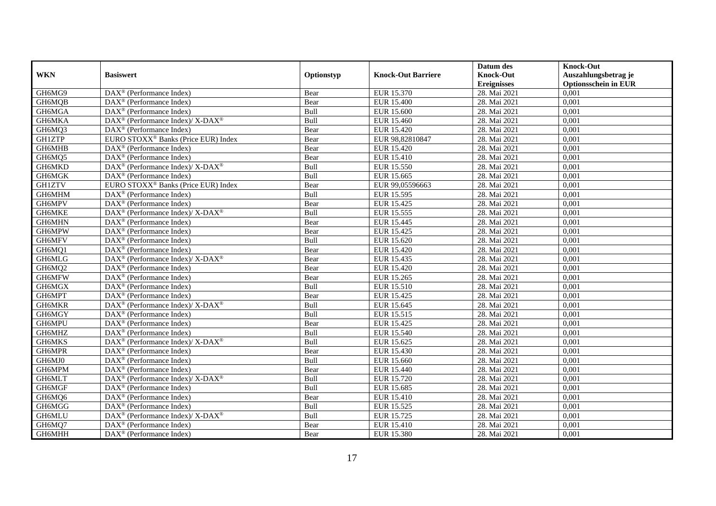|               |                                                              |             |                           | Datum des          | <b>Knock-Out</b>            |
|---------------|--------------------------------------------------------------|-------------|---------------------------|--------------------|-----------------------------|
| <b>WKN</b>    | <b>Basiswert</b>                                             | Optionstyp  | <b>Knock-Out Barriere</b> | <b>Knock-Out</b>   | Auszahlungsbetrag je        |
|               |                                                              |             |                           | <b>Ereignisses</b> | <b>Optionsschein in EUR</b> |
| GH6MG9        | DAX <sup>®</sup> (Performance Index)                         | Bear        | EUR 15.370                | 28. Mai 2021       | 0,001                       |
| GH6MQB        | DAX <sup>®</sup> (Performance Index)                         | Bear        | <b>EUR 15.400</b>         | 28. Mai 2021       | 0,001                       |
| GH6MGA        | $DAX^{\circledR}$ (Performance Index)                        | Bull        | EUR 15.600                | 28. Mai 2021       | 0,001                       |
| GH6MKA        | DAX <sup>®</sup> (Performance Index)/ X-DAX <sup>®</sup>     | Bull        | EUR 15.460                | 28. Mai 2021       | 0,001                       |
| GH6MQ3        | DAX <sup>®</sup> (Performance Index)                         | Bear        | EUR 15.420                | 28. Mai 2021       | 0,001                       |
| <b>GH1ZTP</b> | EURO STOXX <sup>®</sup> Banks (Price EUR) Index              | Bear        | EUR 98,82810847           | 28. Mai 2021       | 0,001                       |
| GH6MHB        | $DAX^{\circledR}$ (Performance Index)                        | Bear        | EUR 15.420                | 28. Mai 2021       | 0,001                       |
| GH6MQ5        | $\overline{\text{DAX}^{\otimes}}$ (Performance Index)        | Bear        | EUR 15.410                | 28. Mai 2021       | 0,001                       |
| GH6MKD        | DAX <sup>®</sup> (Performance Index)/ X-DAX <sup>®</sup>     | Bull        | EUR 15.550                | 28. Mai 2021       | 0,001                       |
| GH6MGK        | DAX <sup>®</sup> (Performance Index)                         | Bull        | EUR 15.665                | 28. Mai 2021       | 0,001                       |
| <b>GH1ZTV</b> | EURO STOXX <sup>®</sup> Banks (Price EUR) Index              | Bear        | EUR 99,05596663           | 28. Mai 2021       | 0,001                       |
| GH6MHM        | $\overline{\text{DAX}^{\otimes}}$ (Performance Index)        | Bull        | EUR 15.595                | 28. Mai 2021       | 0,001                       |
| GH6MPV        | $\text{DAX}^{\circledast}$ (Performance Index)               | Bear        | EUR 15.425                | 28. Mai 2021       | 0,001                       |
| GH6MKE        | $DAX^{\circledcirc}$ (Performance Index)/ X-DAX <sup>®</sup> | <b>Bull</b> | EUR 15.555                | 28. Mai 2021       | 0.001                       |
| GH6MHN        | DAX <sup>®</sup> (Performance Index)                         | Bear        | EUR 15.445                | 28. Mai 2021       | 0,001                       |
| GH6MPW        | DAX <sup>®</sup> (Performance Index)                         | Bear        | EUR 15.425                | 28. Mai 2021       | 0,001                       |
| GH6MFV        | DAX <sup>®</sup> (Performance Index)                         | Bull        | EUR 15.620                | 28. Mai 2021       | 0,001                       |
| GH6MQ1        | $\text{DAX}^{\otimes}$ (Performance Index)                   | Bear        | EUR 15.420                | 28. Mai 2021       | 0,001                       |
| GH6MLG        | DAX <sup>®</sup> (Performance Index)/ X-DAX <sup>®</sup>     | Bear        | EUR 15.435                | 28. Mai 2021       | 0,001                       |
| GH6MQ2        | $\text{DAX}^{\otimes}$ (Performance Index)                   | Bear        | EUR 15.420                | 28. Mai 2021       | 0,001                       |
| GH6MFW        | $\text{DAX}^{\otimes}$ (Performance Index)                   | Bear        | EUR 15.265                | 28. Mai 2021       | 0,001                       |
| GH6MGX        | $\overline{\text{DAX}}^{\textcirc}$ (Performance Index)      | Bull        | EUR 15.510                | 28. Mai 2021       | 0,001                       |
| GH6MPT        | $DAX^{\otimes}$ (Performance Index)                          | Bear        | EUR 15.425                | 28. Mai 2021       | 0,001                       |
| GH6MKR        | DAX <sup>®</sup> (Performance Index)/ X-DAX <sup>®</sup>     | Bull        | EUR 15.645                | 28. Mai 2021       | 0,001                       |
| GH6MGY        | $DAX^{\circledR}$ (Performance Index)                        | Bull        | EUR 15.515                | 28. Mai 2021       | 0,001                       |
| GH6MPU        | $\text{DAX}^{\circledast}$ (Performance Index)               | Bear        | EUR 15.425                | 28. Mai 2021       | 0,001                       |
| GH6MHZ        | DAX <sup>®</sup> (Performance Index)                         | Bull        | EUR 15.540                | 28. Mai 2021       | 0,001                       |
| GH6MKS        | DAX <sup>®</sup> (Performance Index)/X-DAX <sup>®</sup>      | Bull        | EUR 15.625                | 28. Mai 2021       | 0,001                       |
| GH6MPR        | $\text{DAX}^{\otimes}$ (Performance Index)                   | Bear        | EUR 15.430                | 28. Mai 2021       | 0,001                       |
| GH6MJ0        | $\text{DAX}^{\otimes}$ (Performance Index)                   | Bull        | EUR 15.660                | 28. Mai 2021       | 0,001                       |
| GH6MPM        | $DAX^{\otimes}$ (Performance Index)                          | Bear        | EUR 15.440                | 28. Mai 2021       | 0,001                       |
| GH6MLT        | DAX <sup>®</sup> (Performance Index)/ X-DAX <sup>®</sup>     | Bull        | EUR 15.720                | 28. Mai 2021       | 0,001                       |
| GH6MGF        | $DAX^{\circledR}$ (Performance Index)                        | Bull        | EUR 15.685                | 28. Mai 2021       | 0,001                       |
| GH6MQ6        | $\overline{\text{DAX}^{\otimes}}$ (Performance Index)        | Bear        | EUR 15.410                | 28. Mai 2021       | 0,001                       |
| GH6MGG        | $\text{DAX}^{\otimes}$ (Performance Index)                   | Bull        | EUR 15.525                | 28. Mai 2021       | 0,001                       |
| GH6MLU        | DAX <sup>®</sup> (Performance Index)/ X-DAX <sup>®</sup>     | Bull        | EUR 15.725                | 28. Mai 2021       | 0,001                       |
| GH6MQ7        | $DAX^{\circledast}$ (Performance Index)                      | Bear        | EUR 15.410                | 28. Mai 2021       | 0,001                       |
| GH6MHH        | $\text{DAX}^{\otimes}$ (Performance Index)                   | Bear        | EUR 15.380                | 28. Mai 2021       | 0,001                       |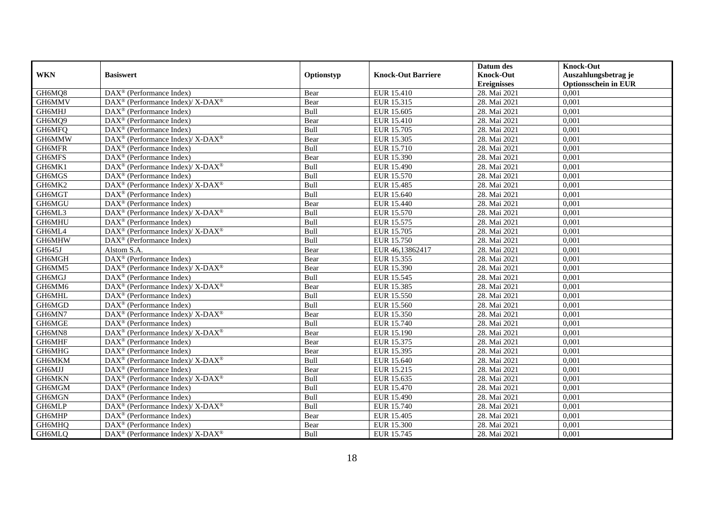|            |                                                                                         |            |                           | Datum des          | <b>Knock-Out</b>            |
|------------|-----------------------------------------------------------------------------------------|------------|---------------------------|--------------------|-----------------------------|
| <b>WKN</b> | <b>Basiswert</b>                                                                        | Optionstyp | <b>Knock-Out Barriere</b> | <b>Knock-Out</b>   | Auszahlungsbetrag je        |
|            |                                                                                         |            |                           | <b>Ereignisses</b> | <b>Optionsschein in EUR</b> |
| GH6MQ8     | DAX <sup>®</sup> (Performance Index)                                                    | Bear       | EUR 15.410                | 28. Mai 2021       | 0,001                       |
| GH6MMV     | DAX <sup>®</sup> (Performance Index)/ X-DAX <sup>®</sup>                                | Bear       | EUR 15.315                | 28. Mai 2021       | 0,001                       |
| GH6MHJ     | $DAX^{\circledR}$ (Performance Index)                                                   | Bull       | EUR 15.605                | 28. Mai 2021       | 0,001                       |
| GH6MQ9     | $\text{DAX}^{\otimes}$ (Performance Index)                                              | Bear       | EUR 15.410                | 28. Mai 2021       | 0,001                       |
| GH6MFQ     | DAX <sup>®</sup> (Performance Index)                                                    | Bull       | EUR 15.705                | 28. Mai 2021       | 0,001                       |
| GH6MMW     | DAX <sup>®</sup> (Performance Index)/X-DAX <sup>®</sup>                                 | Bear       | EUR 15.305                | 28. Mai 2021       | 0,001                       |
| GH6MFR     | $DAX^{\circledR}$ (Performance Index)                                                   | Bull       | EUR 15.710                | 28. Mai 2021       | 0,001                       |
| GH6MFS     | $\text{DAX}^{\otimes}$ (Performance Index)                                              | Bear       | EUR 15.390                | 28. Mai 2021       | 0,001                       |
| GH6MK1     | DAX <sup>®</sup> (Performance Index)/ X-DAX <sup>®</sup>                                | Bull       | EUR 15.490                | 28. Mai 2021       | 0,001                       |
| GH6MGS     | $DAX^{\circledast}$ (Performance Index)                                                 | Bull       | EUR 15.570                | 28. Mai 2021       | 0,001                       |
| GH6MK2     | $DAX^{\circledast}$ (Performance Index)/ $\overline{X-DAX^{\circledast}}$               | Bull       | EUR 15.485                | 28. Mai 2021       | 0,001                       |
| GH6MGT     | $\overline{\text{DAX}}^{\textcirc}$ (Performance Index)                                 | Bull       | EUR 15.640                | 28. Mai 2021       | 0,001                       |
| GH6MGU     | $\text{DAX}^{\otimes}$ (Performance Index)                                              | Bear       | <b>EUR 15.440</b>         | 28. Mai 2021       | 0,001                       |
| GH6ML3     | DAX <sup>®</sup> (Performance Index)/ X-DAX <sup>®</sup>                                | Bull       | EUR 15.570                | 28. Mai 2021       | 0,001                       |
| GH6MHU     | $\text{DAX}^{\otimes}$ (Performance Index)                                              | Bull       | EUR 15.575                | 28. Mai 2021       | 0,001                       |
| GH6ML4     | DAX <sup>®</sup> (Performance Index)/ X-DAX <sup>®</sup>                                | Bull       | EUR 15.705                | 28. Mai 2021       | 0,001                       |
| GH6MHW     | $\text{DAX}^{\otimes}$ (Performance Index)                                              | Bull       | EUR 15.750                | 28. Mai 2021       | 0,001                       |
| GH645J     | Alstom S.A.                                                                             | Bear       | EUR 46,13862417           | 28. Mai 2021       | 0,001                       |
| GH6MGH     | DAX <sup>®</sup> (Performance Index)                                                    | Bear       | EUR 15.355                | 28. Mai 2021       | 0,001                       |
| GH6MM5     | DAX <sup>®</sup> (Performance Index)/ X-DAX <sup>®</sup>                                | Bear       | EUR 15.390                | 28. Mai 2021       | 0,001                       |
| GH6MGJ     | $DAX^{\circledR}$ (Performance Index)                                                   | Bull       | EUR 15.545                | 28. Mai 2021       | 0,001                       |
| GH6MM6     | DAX <sup>®</sup> (Performance Index)/ X-DAX <sup>®</sup>                                | Bear       | EUR 15.385                | 28. Mai 2021       | 0,001                       |
| GH6MHL     | $\text{DAX}^{\otimes}$ (Performance Index)                                              | Bull       | EUR 15.550                | 28. Mai 2021       | 0,001                       |
| GH6MGD     | $\text{DAX}^{\circledast}$ (Performance Index)                                          | Bull       | EUR 15.560                | 28. Mai 2021       | 0,001                       |
| GH6MN7     | $DAX^{\circledcirc}$ (Performance Index)/ X-DAX <sup>®</sup>                            | Bear       | EUR 15.350                | 28. Mai 2021       | 0,001                       |
| GH6MGE     | $\text{DAX}^{\otimes}$ (Performance Index)                                              | Bull       | EUR 15.740                | 28. Mai 2021       | 0,001                       |
| GH6MN8     | DAX <sup>®</sup> (Performance Index)/X-DAX <sup>®</sup>                                 | Bear       | <b>EUR 15.190</b>         | 28. Mai 2021       | 0,001                       |
| GH6MHF     | $DAX^{\circledR}$ (Performance Index)                                                   | Bear       | EUR 15.375                | 28. Mai 2021       | 0,001                       |
| GH6MHG     | $\overline{\text{DAX}^{\otimes}}$ (Performance Index)                                   | Bear       | EUR 15.395                | 28. Mai 2021       | 0,001                       |
| GH6MKM     | DAX <sup>®</sup> (Performance Index)/ X-DAX <sup>®</sup>                                | Bull       | EUR 15.640                | 28. Mai 2021       | 0,001                       |
| GH6MJJ     | $DAX^{\circledast}$ (Performance Index)                                                 | Bear       | EUR 15.215                | 28. Mai 2021       | 0,001                       |
| GH6MKN     | $\text{DAX}^{\circledast}$ (Performance Index)/ $\overline{\text{X-DAX}^{\circledast}}$ | Bull       | EUR 15.635                | 28. Mai 2021       | 0,001                       |
| GH6MGM     | $\overline{\text{DAX}}^{\textcirc}$ (Performance Index)                                 | Bull       | <b>EUR 15.470</b>         | 28. Mai 2021       | 0,001                       |
| GH6MGN     | $\overline{\text{DAX}^{\circledast}(\text{Performance Index})}$                         | Bull       | EUR 15.490                | 28. Mai 2021       | 0,001                       |
| GH6MLP     | DAX <sup>®</sup> (Performance Index)/ X-DAX <sup>®</sup>                                | Bull       | <b>EUR 15.740</b>         | 28. Mai 2021       | 0,001                       |
| GH6MHP     | $\text{DAX}^{\otimes}$ (Performance Index)                                              | Bear       | EUR 15.405                | 28. Mai 2021       | 0,001                       |
| GH6MHQ     | $DAX^{\circledast}$ (Performance Index)                                                 | Bear       | EUR 15.300                | 28. Mai 2021       | 0,001                       |
| GH6MLQ     | $DAX^{\circledast}$ (Performance Index)/ X-DAX <sup>®</sup>                             | Bull       | EUR 15.745                | 28. Mai 2021       | 0,001                       |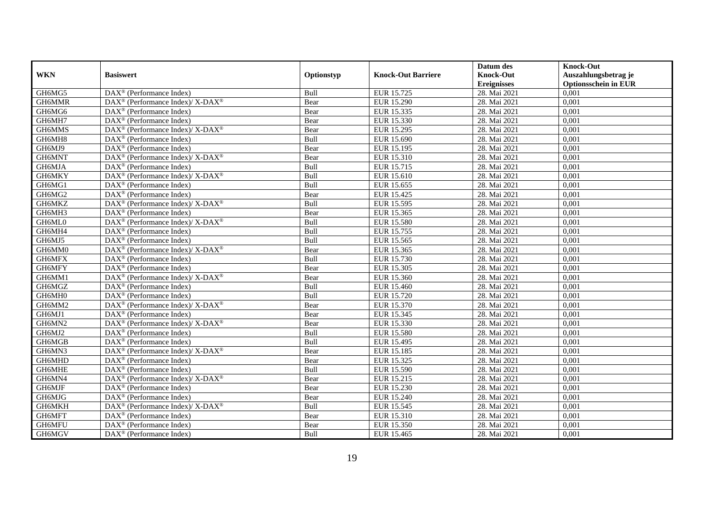|            |                                                             |            |                           | Datum des          | <b>Knock-Out</b>            |
|------------|-------------------------------------------------------------|------------|---------------------------|--------------------|-----------------------------|
| <b>WKN</b> | <b>Basiswert</b>                                            | Optionstyp | <b>Knock-Out Barriere</b> | <b>Knock-Out</b>   | Auszahlungsbetrag je        |
|            |                                                             |            |                           | <b>Ereignisses</b> | <b>Optionsschein in EUR</b> |
| GH6MG5     | DAX <sup>®</sup> (Performance Index)                        | Bull       | EUR 15.725                | 28. Mai 2021       | 0,001                       |
| GH6MMR     | DAX <sup>®</sup> (Performance Index)/ X-DAX <sup>®</sup>    | Bear       | <b>EUR 15.290</b>         | 28. Mai 2021       | 0,001                       |
| GH6MG6     | $DAX^{\circledR}$ (Performance Index)                       | Bear       | EUR 15.335                | 28. Mai 2021       | 0,001                       |
| GH6MH7     | $\text{DAX}^{\otimes}$ (Performance Index)                  | Bear       | EUR 15.330                | 28. Mai 2021       | 0,001                       |
| GH6MMS     | DAX <sup>®</sup> (Performance Index)/ X-DAX <sup>®</sup>    | Bear       | EUR 15.295                | 28. Mai 2021       | 0,001                       |
| GH6MH8     | $DAX^{\circledR}$ (Performance Index)                       | Bull       | EUR 15.690                | 28. Mai 2021       | 0,001                       |
| GH6MJ9     | $DAX^{\otimes}$ (Performance Index)                         | Bear       | EUR 15.195                | 28. Mai 2021       | 0,001                       |
| GH6MNT     | DAX <sup>®</sup> (Performance Index)/ X-DAX <sup>®</sup>    | Bear       | EUR 15.310                | 28. Mai 2021       | 0,001                       |
| GH6MJA     | $DAX^{\circledast}$ (Performance Index)                     | Bull       | EUR 15.715                | 28. Mai 2021       | 0,001                       |
| GH6MKY     | DAX <sup>®</sup> (Performance Index)/ X-DAX <sup>®</sup>    | Bull       | EUR 15.610                | 28. Mai 2021       | 0,001                       |
| GH6MG1     | $\overline{\text{DAX}^{\otimes}}$ (Performance Index)       | Bull       | EUR 15.655                | 28. Mai 2021       | 0,001                       |
| GH6MG2     | $\overline{\text{DAX}^{\otimes}}$ (Performance Index)       | Bear       | EUR 15.425                | 28. Mai 2021       | 0,001                       |
| GH6MKZ     | DAX <sup>®</sup> (Performance Index)/ X-DAX <sup>®</sup>    | Bull       | EUR 15.595                | 28. Mai 2021       | 0,001                       |
| GH6MH3     | DAX <sup>®</sup> (Performance Index)                        | Bear       | EUR 15.365                | 28. Mai 2021       | 0.001                       |
| GH6ML0     | DAX <sup>®</sup> (Performance Index)/ X-DAX <sup>®</sup>    | Bull       | <b>EUR 15.580</b>         | 28. Mai 2021       | 0,001                       |
| GH6MH4     | DAX <sup>®</sup> (Performance Index)                        | Bull       | EUR 15.755                | 28. Mai 2021       | 0,001                       |
| GH6MJ5     | DAX <sup>®</sup> (Performance Index)                        | Bull       | EUR 15.565                | 28. Mai 2021       | 0,001                       |
| GH6MM0     | DAX <sup>®</sup> (Performance Index)/ X-DAX <sup>®</sup>    | Bear       | EUR 15.365                | 28. Mai 2021       | 0,001                       |
| GH6MFX     | DAX <sup>®</sup> (Performance Index)                        | Bull       | EUR 15.730                | 28. Mai 2021       | 0,001                       |
| GH6MFY     | $\text{DAX}^{\otimes}$ (Performance Index)                  | Bear       | EUR 15.305                | 28. Mai 2021       | 0,001                       |
| GH6MM1     | DAX <sup>®</sup> (Performance Index)/ X-DAX <sup>®</sup>    | Bear       | EUR 15.360                | 28. Mai 2021       | 0,001                       |
| GH6MGZ     | $DAX^{\circledR}$ (Performance Index)                       | Bull       | EUR 15.460                | 28. Mai 2021       | 0,001                       |
| GH6MH0     | $DAX^{\otimes}$ (Performance Index)                         | Bull       | EUR 15.720                | 28. Mai 2021       | 0,001                       |
| GH6MM2     | DAX <sup>®</sup> (Performance Index)/ X-DAX <sup>®</sup>    | Bear       | EUR 15.370                | 28. Mai 2021       | 0,001                       |
| GH6MJ1     | $DAX^{\circledR}$ (Performance Index)                       | Bear       | EUR 15.345                | 28. Mai 2021       | 0,001                       |
| GH6MN2     | DAX <sup>®</sup> (Performance Index)/ X-DAX <sup>®</sup>    | Bear       | EUR 15.330                | 28. Mai 2021       | 0,001                       |
| GH6MJ2     | DAX <sup>®</sup> (Performance Index)                        | Bull       | <b>EUR 15.580</b>         | 28. Mai 2021       | 0,001                       |
| GH6MGB     | DAX <sup>®</sup> (Performance Index)                        | Bull       | EUR 15.495                | 28. Mai 2021       | 0,001                       |
| GH6MN3     | DAX <sup>®</sup> (Performance Index)/ X-DAX <sup>®</sup>    | Bear       | EUR 15.185                | 28. Mai 2021       | 0,001                       |
| GH6MHD     | $\text{DAX}^{\otimes}$ (Performance Index)                  | Bear       | EUR 15.325                | 28. Mai 2021       | 0,001                       |
| GH6MHE     | $DAX^{\otimes}$ (Performance Index)                         | Bull       | EUR 15.590                | 28. Mai 2021       | 0,001                       |
| GH6MN4     | DAX <sup>®</sup> (Performance Index)/ X-DAX <sup>®</sup>    | Bear       | EUR 15.215                | 28. Mai 2021       | 0,001                       |
| GH6MJF     | $DAX^{\circledR}$ (Performance Index)                       | Bear       | EUR 15.230                | 28. Mai 2021       | 0,001                       |
| GH6MJG     | $\overline{\text{DAX}^{\otimes}}$ (Performance Index)       | Bear       | EUR 15.240                | 28. Mai 2021       | 0,001                       |
| GH6MKH     | $DAX^{\circledast}$ (Performance Index)/ X-DAX <sup>®</sup> | Bull       | EUR 15.545                | 28. Mai 2021       | 0,001                       |
| GH6MFT     | $\text{DAX}^{\circledast}$ (Performance Index)              | Bear       | EUR 15.310                | 28. Mai 2021       | 0,001                       |
| GH6MFU     | $\text{DAX}^{\circledast}$ (Performance Index)              | Bear       | EUR 15.350                | 28. Mai 2021       | 0,001                       |
| GH6MGV     | $\text{DAX}^{\otimes}$ (Performance Index)                  | Bull       | EUR 15.465                | 28. Mai 2021       | 0,001                       |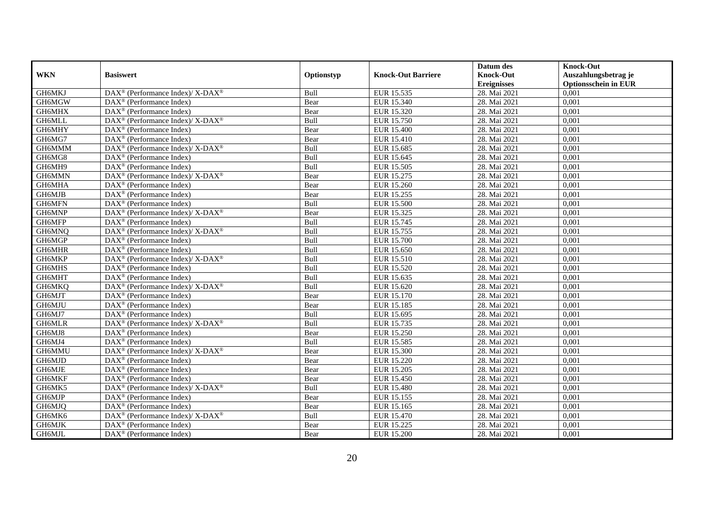|            |                                                                           |            |                           | Datum des          | <b>Knock-Out</b>            |
|------------|---------------------------------------------------------------------------|------------|---------------------------|--------------------|-----------------------------|
| <b>WKN</b> | <b>Basiswert</b>                                                          | Optionstyp | <b>Knock-Out Barriere</b> | <b>Knock-Out</b>   | Auszahlungsbetrag je        |
|            |                                                                           |            |                           | <b>Ereignisses</b> | <b>Optionsschein in EUR</b> |
| GH6MKJ     | DAX <sup>®</sup> (Performance Index)/ X-DAX <sup>®</sup>                  | Bull       | EUR 15.535                | 28. Mai 2021       | 0,001                       |
| GH6MGW     | $\text{DAX}^{\circledast}$ (Performance Index)                            | Bear       | EUR 15.340                | 28. Mai 2021       | 0,001                       |
| GH6MHX     | $DAX^{\circledR}$ (Performance Index)                                     | Bear       | EUR 15.320                | 28. Mai 2021       | 0,001                       |
| GH6MLL     | DAX <sup>®</sup> (Performance Index)/ X-DAX <sup>®</sup>                  | Bull       | EUR 15.750                | 28. Mai 2021       | 0,001                       |
| GH6MHY     | DAX <sup>®</sup> (Performance Index)                                      | Bear       | EUR 15.400                | 28. Mai 2021       | 0,001                       |
| GH6MG7     | $DAX^{\otimes}$ (Performance Index)                                       | Bear       | <b>EUR 15.410</b>         | 28. Mai 2021       | 0,001                       |
| GH6MMM     | DAX <sup>®</sup> (Performance Index)/ X-DAX <sup>®</sup>                  | Bull       | EUR 15.685                | 28. Mai 2021       | 0,001                       |
| GH6MG8     | DAX <sup>®</sup> (Performance Index)                                      | Bull       | EUR 15.645                | 28. Mai 2021       | 0,001                       |
| GH6MH9     | $\text{DAX}^{\circledast}$ (Performance Index)                            | Bull       | EUR 15.505                | 28. Mai 2021       | 0,001                       |
| GH6MMN     | DAX <sup>®</sup> (Performance Index)/X-DAX <sup>®</sup>                   | Bear       | EUR 15.275                | 28. Mai 2021       | 0,001                       |
| GH6MHA     | $\overline{\text{DAX}^{\otimes}}$ (Performance Index)                     | Bear       | EUR 15.260                | 28. Mai 2021       | 0,001                       |
| GH6MJB     | DAX <sup>®</sup> (Performance Index)                                      | Bear       | EUR 15.255                | 28. Mai 2021       | 0,001                       |
| GH6MFN     | $\text{DAX}^{\circledast}$ (Performance Index)                            | Bull       | EUR 15.500                | 28. Mai 2021       | 0,001                       |
| GH6MNP     | $DAX^{\circledcirc}$ (Performance Index)/ X-DAX <sup>®</sup>              | Bear       | EUR 15.325                | 28. Mai 2021       | 0.001                       |
| GH6MFP     | DAX <sup>®</sup> (Performance Index)                                      | Bull       | EUR 15.745                | 28. Mai 2021       | 0,001                       |
| GH6MNQ     | DAX <sup>®</sup> (Performance Index)/X-DAX <sup>®</sup>                   | Bull       | EUR 15.755                | 28. Mai 2021       | 0,001                       |
| GH6MGP     | DAX <sup>®</sup> (Performance Index)                                      | Bull       | <b>EUR 15.700</b>         | 28. Mai 2021       | 0,001                       |
| GH6MHR     | $\text{DAX}^{\otimes}$ (Performance Index)                                | Bull       | EUR 15.650                | 28. Mai 2021       | 0,001                       |
| GH6MKP     | DAX <sup>®</sup> (Performance Index)/ X-DAX <sup>®</sup>                  | Bull       | EUR 15.510                | 28. Mai 2021       | 0,001                       |
| GH6MHS     | $\text{DAX}^{\otimes}$ (Performance Index)                                | Bull       | EUR 15.520                | 28. Mai 2021       | 0,001                       |
| GH6MHT     | $\text{DAX}^{\otimes}$ (Performance Index)                                | Bull       | EUR 15.635                | 28. Mai 2021       | 0,001                       |
| GH6MKQ     | $DAX^{\circledast}$ (Performance Index)/ $\overline{X-DAX^{\circledast}}$ | Bull       | EUR 15.620                | 28. Mai 2021       | 0,001                       |
| GH6MJT     | $DAX^{\circledR}$ (Performance Index)                                     | Bear       | EUR 15.170                | 28. Mai 2021       | 0,001                       |
| GH6MJU     | $DAX^{\circledR}$ (Performance Index)                                     | Bear       | EUR 15.185                | 28. Mai 2021       | 0,001                       |
| GH6MJ7     | $DAX^{\circledR}$ (Performance Index)                                     | Bull       | EUR 15.695                | 28. Mai 2021       | 0,001                       |
| GH6MLR     | DAX <sup>®</sup> (Performance Index)/ X-DAX <sup>®</sup>                  | Bull       | EUR 15.735                | 28. Mai 2021       | 0,001                       |
| GH6MJ8     | DAX <sup>®</sup> (Performance Index)                                      | Bear       | EUR 15.250                | 28. Mai 2021       | 0,001                       |
| GH6MJ4     | DAX <sup>®</sup> (Performance Index)                                      | Bull       | EUR 15.585                | 28. Mai 2021       | 0,001                       |
| GH6MMU     | DAX <sup>®</sup> (Performance Index)/ X-DAX <sup>®</sup>                  | Bear       | EUR 15.300                | 28. Mai 2021       | 0,001                       |
| GH6MJD     | $\text{DAX}^{\otimes}$ (Performance Index)                                | Bear       | EUR 15.220                | 28. Mai 2021       | 0,001                       |
| GH6MJE     | $DAX^{\otimes}$ (Performance Index)                                       | Bear       | EUR 15.205                | 28. Mai 2021       | 0,001                       |
| GH6MKF     | $\text{DAX}^{\otimes}$ (Performance Index)                                | Bear       | EUR 15.450                | 28. Mai 2021       | 0,001                       |
| GH6MK5     | $DAX^{\circledast}$ (Performance Index)/ $\overline{X-DAX^{\circledast}}$ | Bull       | <b>EUR 15.480</b>         | 28. Mai 2021       | 0,001                       |
| GH6MJP     | $\overline{\text{DAX}^{\otimes}}$ (Performance Index)                     | Bear       | EUR 15.155                | 28. Mai 2021       | 0,001                       |
| GH6MJQ     | $\text{DAX}^{\circledast}$ (Performance Index)                            | Bear       | EUR 15.165                | 28. Mai 2021       | 0,001                       |
| GH6MK6     | $DAX^{\circledast}$ (Performance Index)/ X-DAX <sup>®</sup>               | Bull       | EUR 15.470                | 28. Mai 2021       | 0,001                       |
| GH6MJK     | $\text{DAX}^{\circledast}$ (Performance Index)                            | Bear       | EUR 15.225                | 28. Mai 2021       | 0,001                       |
| GH6MJL     | DAX <sup>®</sup> (Performance Index)                                      | Bear       | <b>EUR 15.200</b>         | 28. Mai 2021       | 0,001                       |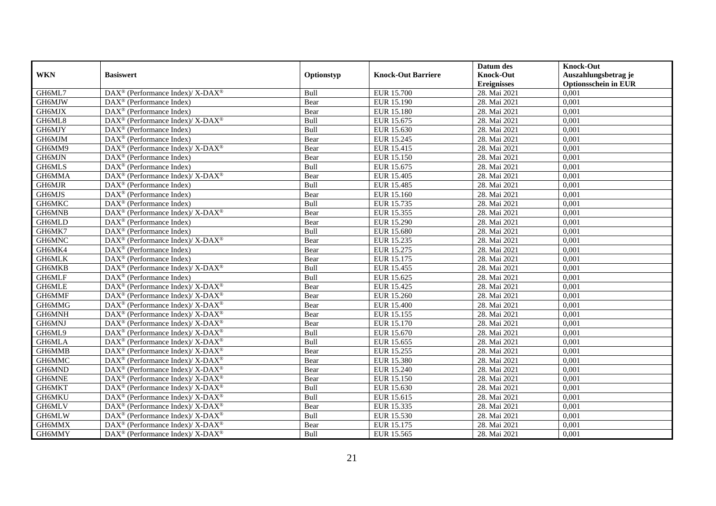|            |                                                              |            |                           | Datum des          | <b>Knock-Out</b>            |
|------------|--------------------------------------------------------------|------------|---------------------------|--------------------|-----------------------------|
| <b>WKN</b> | <b>Basiswert</b>                                             | Optionstyp | <b>Knock-Out Barriere</b> | <b>Knock-Out</b>   | Auszahlungsbetrag je        |
|            |                                                              |            |                           | <b>Ereignisses</b> | <b>Optionsschein in EUR</b> |
| GH6ML7     | DAX <sup>®</sup> (Performance Index)/ X-DAX <sup>®</sup>     | Bull       | <b>EUR 15.700</b>         | 28. Mai 2021       | 0,001                       |
| GH6MJW     | $\text{DAX}^{\circledast}$ (Performance Index)               | Bear       | EUR 15.190                | 28. Mai 2021       | 0,001                       |
| GH6MJX     | $DAX^{\circledR}$ (Performance Index)                        | Bear       | EUR 15.180                | 28. Mai 2021       | 0,001                       |
| GH6ML8     | DAX <sup>®</sup> (Performance Index)/ X-DAX <sup>®</sup>     | Bull       | EUR 15.675                | 28. Mai 2021       | 0,001                       |
| GH6MJY     | DAX <sup>®</sup> (Performance Index)                         | Bull       | EUR 15.630                | 28. Mai 2021       | 0,001                       |
| GH6MJM     | $DAX^{\circledR}$ (Performance Index)                        | Bear       | EUR 15.245                | 28. Mai 2021       | 0,001                       |
| GH6MM9     | $DAX^{\circledast}$ (Performance Index)/X-DAX <sup>®</sup>   | Bear       | EUR 15.415                | 28. Mai 2021       | 0,001                       |
| GH6MJN     | $\text{DAX}^{\otimes}$ (Performance Index)                   | Bear       | EUR 15.150                | 28. Mai 2021       | 0,001                       |
| GH6MLS     | $\text{DAX}^{\otimes}$ (Performance Index)                   | Bull       | EUR 15.675                | 28. Mai 2021       | 0,001                       |
| GH6MMA     | DAX <sup>®</sup> (Performance Index)/ X-DAX <sup>®</sup>     | Bear       | EUR 15.405                | 28. Mai 2021       | 0,001                       |
| GH6MJR     | DAX <sup>®</sup> (Performance Index)                         | Bull       | EUR 15.485                | 28. Mai 2021       | 0,001                       |
| GH6MJS     | $\overline{\text{DAX}}^{\textcirc}$ (Performance Index)      | Bear       | EUR 15.160                | 28. Mai 2021       | 0,001                       |
| GH6MKC     | $\text{DAX}^{\otimes}$ (Performance Index)                   | Bull       | EUR 15.735                | 28. Mai 2021       | 0,001                       |
| GH6MNB     | DAX <sup>®</sup> (Performance Index)/ X-DAX <sup>®</sup>     | Bear       | EUR 15.355                | 28. Mai 2021       | 0,001                       |
| GH6MLD     | $\text{DAX}^{\otimes}$ (Performance Index)                   | Bear       | EUR 15.290                | 28. Mai 2021       | 0,001                       |
| GH6MK7     | $\text{DAX}^{\otimes}$ (Performance Index)                   | Bull       | <b>EUR 15.680</b>         | 28. Mai 2021       | 0,001                       |
| GH6MNC     | DAX <sup>®</sup> (Performance Index)/ X-DAX <sup>®</sup>     | Bear       | EUR 15.235                | 28. Mai 2021       | 0,001                       |
| GH6MK4     | $DAX^{\circledR}$ (Performance Index)                        | Bear       | EUR 15.275                | 28. Mai 2021       | 0,001                       |
| GH6MLK     | $\text{DAX}^{\otimes}$ (Performance Index)                   | Bear       | EUR 15.175                | 28. Mai 2021       | 0,001                       |
| GH6MKB     | DAX <sup>®</sup> (Performance Index)/ X-DAX <sup>®</sup>     | Bull       | EUR 15.455                | 28. Mai 2021       | 0,001                       |
| GH6MLF     | DAX <sup>®</sup> (Performance Index)                         | Bull       | EUR 15.625                | 28. Mai 2021       | 0,001                       |
| GH6MLE     | DAX <sup>®</sup> (Performance Index)/ X-DAX <sup>®</sup>     | Bear       | EUR 15.425                | 28. Mai 2021       | 0,001                       |
| GH6MMF     | DAX <sup>®</sup> (Performance Index)/ X-DAX <sup>®</sup>     | Bear       | EUR 15.260                | 28. Mai 2021       | 0,001                       |
| GH6MMG     | DAX <sup>®</sup> (Performance Index)/ X-DAX <sup>®</sup>     | Bear       | <b>EUR 15.400</b>         | 28. Mai 2021       | 0,001                       |
| GH6MNH     | $DAX^{\circledcirc}$ (Performance Index)/ X-DAX <sup>®</sup> | Bear       | EUR 15.155                | 28. Mai 2021       | 0,001                       |
| GH6MNJ     | $DAX^{\circledast}$ (Performance Index)/ X-DAX <sup>®</sup>  | Bear       | EUR 15.170                | 28. Mai 2021       | 0,001                       |
| GH6ML9     | DAX <sup>®</sup> (Performance Index)/ X-DAX <sup>®</sup>     | Bull       | EUR 15.670                | 28. Mai 2021       | 0,001                       |
| GH6MLA     | DAX <sup>®</sup> (Performance Index)/ X-DAX <sup>®</sup>     | Bull       | EUR 15.655                | 28. Mai 2021       | 0,001                       |
| GH6MMB     | $DAX^{\circledast}$ (Performance Index)/ X-DAX <sup>®</sup>  | Bear       | EUR 15.255                | 28. Mai 2021       | 0,001                       |
| GH6MMC     | $DAX^{\circledast}$ (Performance Index)/ X-DAX <sup>®</sup>  | Bear       | EUR 15.380                | 28. Mai 2021       | 0,001                       |
| GH6MND     | DAX <sup>®</sup> (Performance Index)/ X-DAX <sup>®</sup>     | Bear       | EUR 15.240                | 28. Mai 2021       | 0,001                       |
| GH6MNE     | $DAX^{\circledast}$ (Performance Index)/ X-DAX <sup>®</sup>  | Bear       | EUR 15.150                | 28. Mai 2021       | 0,001                       |
| GH6MKT     | $DAX^{\circledast}$ (Performance Index)/ X-DAX <sup>®</sup>  | Bull       | EUR 15.630                | 28. Mai 2021       | 0,001                       |
| GH6MKU     | DAX <sup>®</sup> (Performance Index)/ X-DAX <sup>®</sup>     | Bull       | EUR 15.615                | 28. Mai 2021       | 0,001                       |
| GH6MLV     | DAX <sup>®</sup> (Performance Index)/ X-DAX <sup>®</sup>     | Bear       | EUR 15.335                | 28. Mai 2021       | 0,001                       |
| GH6MLW     | $DAX^{\circledast}$ (Performance Index)/ X-DAX <sup>®</sup>  | Bull       | EUR 15.530                | 28. Mai 2021       | 0,001                       |
| GH6MMX     | DAX <sup>®</sup> (Performance Index)/ X-DAX <sup>®</sup>     | Bear       | EUR 15.175                | 28. Mai 2021       | 0,001                       |
| GH6MMY     | $DAX^{\circledast}$ (Performance Index)/ X-DAX <sup>®</sup>  | Bull       | EUR 15.565                | 28. Mai 2021       | 0,001                       |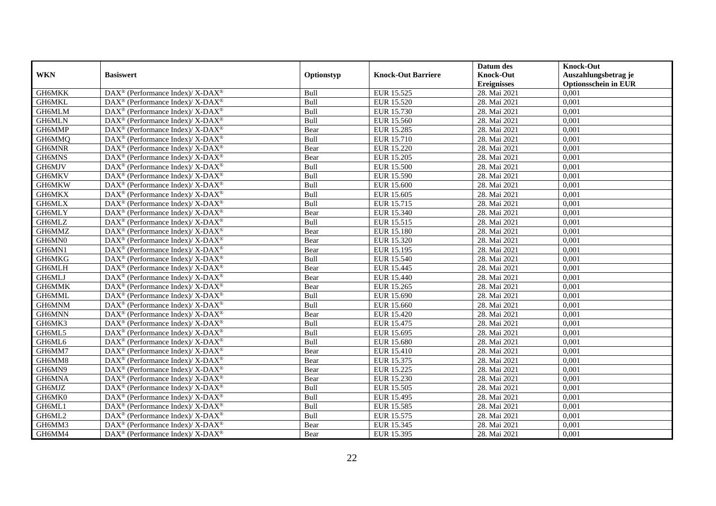|            |                                                              |            |                           | Datum des          | <b>Knock-Out</b>            |
|------------|--------------------------------------------------------------|------------|---------------------------|--------------------|-----------------------------|
| <b>WKN</b> | <b>Basiswert</b>                                             | Optionstyp | <b>Knock-Out Barriere</b> | <b>Knock-Out</b>   | Auszahlungsbetrag je        |
|            |                                                              |            |                           | <b>Ereignisses</b> | <b>Optionsschein in EUR</b> |
| GH6MKK     | DAX <sup>®</sup> (Performance Index)/ X-DAX <sup>®</sup>     | Bull       | EUR 15.525                | 28. Mai 2021       | 0,001                       |
| GH6MKL     | $DAX^{\circledast}$ (Performance Index)/ X-DAX <sup>®</sup>  | Bull       | EUR 15.520                | 28. Mai 2021       | 0,001                       |
| GH6MLM     | $DAX^{\circledast}$ (Performance Index)/ X-DAX <sup>®</sup>  | Bull       | EUR 15.730                | 28. Mai 2021       | 0,001                       |
| GH6MLN     | $DAX^{\circledast}$ (Performance Index)/ X-DAX <sup>®</sup>  | Bull       | EUR 15.560                | 28. Mai 2021       | 0,001                       |
| GH6MMP     | $DAX^{\circledast}$ (Performance Index)/ X-DAX <sup>®</sup>  | Bear       | <b>EUR 15.285</b>         | 28. Mai 2021       | 0,001                       |
| GH6MMQ     | DAX <sup>®</sup> (Performance Index)/ X-DAX <sup>®</sup>     | Bull       | <b>EUR 15.710</b>         | 28. Mai 2021       | 0,001                       |
| GH6MNR     | $DAX^{\circledast}$ (Performance Index)/ X-DAX <sup>®</sup>  | Bear       | EUR 15.220                | 28. Mai 2021       | 0,001                       |
| GH6MNS     | $DAX^{\circledast}$ (Performance Index)/ X-DAX <sup>®</sup>  | Bear       | EUR 15.205                | 28. Mai 2021       | 0,001                       |
| GH6MJV     | $DAX^{\circledast}$ (Performance Index)/ X-DAX <sup>®</sup>  | Bull       | EUR 15.500                | 28. Mai 2021       | 0,001                       |
| GH6MKV     | DAX <sup>®</sup> (Performance Index)/ X-DAX <sup>®</sup>     | Bull       | EUR 15.590                | 28. Mai 2021       | 0,001                       |
| GH6MKW     | $DAX^{\circledcirc}$ (Performance Index)/ X-DAX <sup>®</sup> | Bull       | EUR 15.600                | 28. Mai 2021       | 0,001                       |
| GH6MKX     | DAX <sup>®</sup> (Performance Index)/ X-DAX <sup>®</sup>     | Bull       | EUR 15.605                | 28. Mai 2021       | 0,001                       |
| GH6MLX     | $DAX^{\circledast}$ (Performance Index)/ X-DAX <sup>®</sup>  | Bull       | EUR 15.715                | 28. Mai 2021       | 0,001                       |
| GH6MLY     | $DAX^{\circledast}$ (Performance Index)/ X-DAX <sup>®</sup>  | Bear       | EUR 15.340                | 28. Mai 2021       | 0,001                       |
| GH6MLZ     | $DAX^{\circledast}$ (Performance Index)/ X-DAX <sup>®</sup>  | Bull       | EUR 15.515                | 28. Mai 2021       | 0,001                       |
| GH6MMZ     | DAX <sup>®</sup> (Performance Index)/ X-DAX <sup>®</sup>     | Bear       | <b>EUR 15.180</b>         | 28. Mai 2021       | 0,001                       |
| GH6MN0     | $DAX^{\circledast}$ (Performance Index)/ X-DAX <sup>®</sup>  | Bear       | EUR 15.320                | 28. Mai 2021       | 0,001                       |
| GH6MN1     | DAX <sup>®</sup> (Performance Index)/ X-DAX <sup>®</sup>     | Bear       | EUR 15.195                | 28. Mai 2021       | 0,001                       |
| GH6MKG     | $DAX^{\circledast}$ (Performance Index)/ X-DAX <sup>®</sup>  | Bull       | EUR 15.540                | 28. Mai 2021       | 0,001                       |
| GH6MLH     | DAX <sup>®</sup> (Performance Index)/ X-DAX <sup>®</sup>     | Bear       | EUR 15.445                | 28. Mai 2021       | 0,001                       |
| GH6MLJ     | $DAX^{\circledast}$ (Performance Index)/ X-DAX <sup>®</sup>  | Bear       | <b>EUR 15.440</b>         | 28. Mai 2021       | 0,001                       |
| GH6MMK     | $DAX^{\circledast}$ (Performance Index)/ X-DAX <sup>®</sup>  | Bear       | EUR 15.265                | 28. Mai 2021       | 0,001                       |
| GH6MML     | DAX <sup>®</sup> (Performance Index)/ X-DAX <sup>®</sup>     | Bull       | EUR 15.690                | 28. Mai 2021       | 0,001                       |
| GH6MNM     | $DAX^{\circledast}$ (Performance Index)/ X-DAX <sup>®</sup>  | Bull       | EUR 15.660                | 28. Mai 2021       | 0,001                       |
| GH6MNN     | DAX <sup>®</sup> (Performance Index)/ X-DAX <sup>®</sup>     | Bear       | EUR 15.420                | 28. Mai 2021       | 0,001                       |
| GH6MK3     | DAX <sup>®</sup> (Performance Index)/ X-DAX <sup>®</sup>     | Bull       | EUR 15.475                | 28. Mai 2021       | 0,001                       |
| GH6ML5     | DAX <sup>®</sup> (Performance Index)/ X-DAX <sup>®</sup>     | Bull       | EUR 15.695                | 28. Mai 2021       | 0,001                       |
| GH6ML6     | DAX <sup>®</sup> (Performance Index)/ X-DAX <sup>®</sup>     | Bull       | <b>EUR 15.680</b>         | 28. Mai 2021       | 0,001                       |
| GH6MM7     | $DAX^{\circledast}$ (Performance Index)/ X-DAX <sup>®</sup>  | Bear       | EUR 15.410                | 28. Mai 2021       | 0,001                       |
| GH6MM8     | DAX <sup>®</sup> (Performance Index)/ $X$ -DAX <sup>®</sup>  | Bear       | EUR 15.375                | 28. Mai 2021       | 0,001                       |
| GH6MN9     | DAX <sup>®</sup> (Performance Index)/ X-DAX <sup>®</sup>     | Bear       | EUR 15.225                | 28. Mai 2021       | 0,001                       |
| GH6MNA     | DAX <sup>®</sup> (Performance Index)/ X-DAX <sup>®</sup>     | Bear       | EUR 15.230                | 28. Mai 2021       | 0,001                       |
| GH6MJZ     | $DAX^{\circledast}$ (Performance Index)/ X-DAX <sup>®</sup>  | Bull       | EUR 15.505                | 28. Mai 2021       | 0,001                       |
| GH6MK0     | DAX <sup>®</sup> (Performance Index)/ X-DAX <sup>®</sup>     | Bull       | EUR 15.495                | 28. Mai 2021       | 0,001                       |
| GH6ML1     | DAX <sup>®</sup> (Performance Index)/ X-DAX <sup>®</sup>     | Bull       | EUR 15.585                | 28. Mai 2021       | 0,001                       |
| GH6ML2     | $DAX^{\circledast}$ (Performance Index)/ X-DAX <sup>®</sup>  | Bull       | EUR 15.575                | 28. Mai 2021       | 0,001                       |
| GH6MM3     | $DAX^{\circledast}$ (Performance Index)/ X-DAX <sup>®</sup>  | Bear       | EUR 15.345                | 28. Mai 2021       | 0,001                       |
| GH6MM4     | DAX <sup>®</sup> (Performance Index)/ X-DAX <sup>®</sup>     | Bear       | EUR 15.395                | 28. Mai 2021       | 0,001                       |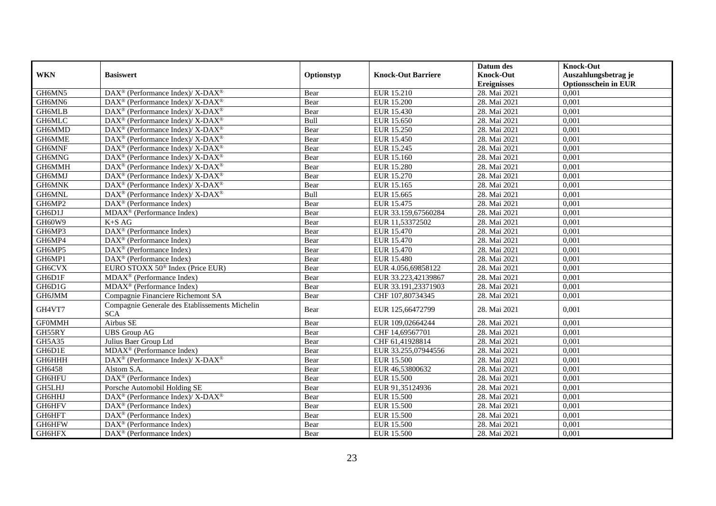|               |                                                                           |            |                           | Datum des          | <b>Knock-Out</b>            |
|---------------|---------------------------------------------------------------------------|------------|---------------------------|--------------------|-----------------------------|
| <b>WKN</b>    | <b>Basiswert</b>                                                          | Optionstyp | <b>Knock-Out Barriere</b> | <b>Knock-Out</b>   | Auszahlungsbetrag je        |
|               |                                                                           |            |                           | <b>Ereignisses</b> | <b>Optionsschein in EUR</b> |
| GH6MN5        | DAX <sup>®</sup> (Performance Index)/ X-DAX <sup>®</sup>                  | Bear       | EUR 15.210                | 28. Mai 2021       | 0,001                       |
| GH6MN6        | DAX <sup>®</sup> (Performance Index)/ X-DAX <sup>®</sup>                  | Bear       | <b>EUR 15.200</b>         | 28. Mai 2021       | 0,001                       |
| GH6MLB        | $DAX^{\circledast}$ (Performance Index)/ X-DAX <sup>®</sup>               | Bear       | EUR 15.430                | 28. Mai 2021       | 0,001                       |
| GH6MLC        | DAX <sup>®</sup> (Performance Index)/ X-DAX <sup>®</sup>                  | Bull       | EUR 15.650                | 28. Mai 2021       | 0,001                       |
| GH6MMD        | DAX <sup>®</sup> (Performance Index)/ X-DAX <sup>®</sup>                  | Bear       | <b>EUR 15.250</b>         | 28. Mai 2021       | 0,001                       |
| GH6MME        | DAX <sup>®</sup> (Performance Index)/ X-DAX <sup>®</sup>                  | Bear       | <b>EUR 15.450</b>         | 28. Mai 2021       | 0,001                       |
| GH6MNF        | $DAX^{\circledast}$ (Performance Index)/ X-DAX <sup>®</sup>               | Bear       | EUR 15.245                | 28. Mai 2021       | 0,001                       |
| GH6MNG        | $DAX^{\circledast}$ (Performance Index)/ X-DAX <sup>®</sup>               | Bear       | EUR 15.160                | 28. Mai 2021       | 0,001                       |
| GH6MMH        | $DAX^{\circledast}$ (Performance Index)/ X-DAX <sup>®</sup>               | Bear       | <b>EUR 15.280</b>         | 28. Mai 2021       | 0,001                       |
| GH6MMJ        | DAX <sup>®</sup> (Performance Index)/ X-DAX <sup>®</sup>                  | Bear       | EUR 15.270                | 28. Mai 2021       | 0,001                       |
| GH6MNK        | $DAX^{\circledast}$ (Performance Index)/ X-DAX <sup>®</sup>               | Bear       | EUR 15.165                | 28. Mai 2021       | 0,001                       |
| <b>GH6MNL</b> | DAX <sup>®</sup> (Performance Index)/ X-DAX <sup>®</sup>                  | Bull       | EUR 15.665                | 28. Mai 2021       | 0,001                       |
| GH6MP2        | DAX <sup>®</sup> (Performance Index)                                      | Bear       | EUR 15.475                | 28. Mai 2021       | 0,001                       |
| GH6D1J        | MDAX <sup>®</sup> (Performance Index)                                     | Bear       | EUR 33.159,67560284       | 28. Mai 2021       | 0,001                       |
| GH60W9        | $K+SAG$                                                                   | Bear       | EUR 11,53372502           | 28. Mai 2021       | 0,001                       |
| GH6MP3        | DAX <sup>®</sup> (Performance Index)                                      | Bear       | EUR 15.470                | 28. Mai 2021       | 0,001                       |
| GH6MP4        | DAX <sup>®</sup> (Performance Index)                                      | Bear       | <b>EUR 15.470</b>         | 28. Mai 2021       | 0,001                       |
| GH6MP5        | $DAX^{\circledR}$ (Performance Index)                                     | Bear       | EUR 15.470                | 28. Mai 2021       | 0,001                       |
| GH6MP1        | $\overline{\text{DAX}}^{\textcirc}$ (Performance Index)                   | Bear       | <b>EUR 15.480</b>         | 28. Mai 2021       | 0,001                       |
| GH6CVX        | EURO STOXX 50 <sup>®</sup> Index (Price EUR)                              | Bear       | EUR 4.056,69858122        | 28. Mai 2021       | 0,001                       |
| GH6D1F        | MDAX <sup>®</sup> (Performance Index)                                     | Bear       | EUR 33.223,42139867       | 28. Mai 2021       | 0,001                       |
| GH6D1G        | MDAX <sup>®</sup> (Performance Index)                                     | Bear       | EUR 33.191,23371903       | 28. Mai 2021       | 0,001                       |
| GH6JMM        | Compagnie Financiere Richemont SA                                         | Bear       | CHF 107,80734345          | 28. Mai 2021       | 0,001                       |
| GH4VT7        | Compagnie Generale des Etablissements Michelin<br><b>SCA</b>              | Bear       | EUR 125,66472799          | 28. Mai 2021       | 0,001                       |
| <b>GF0MMH</b> | Airbus SE                                                                 | Bear       | EUR 109,02664244          | 28. Mai 2021       | 0,001                       |
| GH55RY        | UBS Group AG                                                              | Bear       | CHF 14,69567701           | 28. Mai 2021       | 0,001                       |
| <b>GH5A35</b> | Julius Baer Group Ltd                                                     | Bear       | CHF 61,41928814           | 28. Mai 2021       | 0,001                       |
| GH6D1E        | MDAX <sup>®</sup> (Performance Index)                                     | Bear       | EUR 33.255,07944556       | 28. Mai 2021       | 0,001                       |
| GH6HHH        | $DAX^{\circledast}$ (Performance Index)/ $\overline{X-DAX^{\circledast}}$ | Bear       | EUR 15.500                | 28. Mai 2021       | 0,001                       |
| GH6458        | Alstom S.A.                                                               | Bear       | EUR 46,53800632           | 28. Mai 2021       | 0,001                       |
| GH6HFU        | DAX <sup>®</sup> (Performance Index)                                      | Bear       | <b>EUR 15.500</b>         | 28. Mai 2021       | 0,001                       |
| <b>GH5LHJ</b> | Porsche Automobil Holding SE                                              | Bear       | EUR 91,35124936           | 28. Mai 2021       | 0,001                       |
| GH6HHJ        | $DAX^{\circledast}$ (Performance Index)/ X-DAX <sup>®</sup>               | Bear       | <b>EUR 15.500</b>         | 28. Mai 2021       | 0,001                       |
| GH6HFV        | $\text{DAX}^{\otimes}$ (Performance Index)                                | Bear       | <b>EUR 15.500</b>         | 28. Mai 2021       | 0,001                       |
| GH6HFT        | DAX <sup>®</sup> (Performance Index)                                      | Bear       | <b>EUR 15.500</b>         | 28. Mai 2021       | 0,001                       |
| GH6HFW        | $\text{DAX}^{\otimes}$ (Performance Index)                                | Bear       | <b>EUR 15.500</b>         | 28. Mai 2021       | 0,001                       |
| GH6HFX        | $\text{DAX}^{\otimes}$ (Performance Index)                                | Bear       | EUR 15.500                | 28. Mai 2021       | 0,001                       |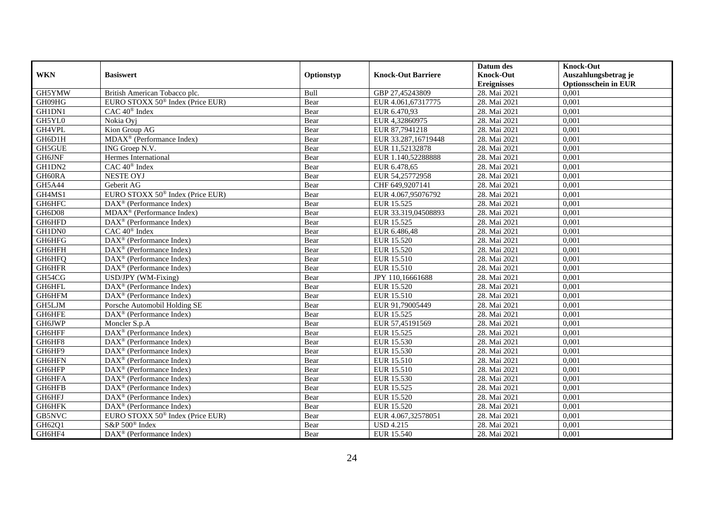|               |                                                         |            |                           | Datum des          | <b>Knock-Out</b>            |
|---------------|---------------------------------------------------------|------------|---------------------------|--------------------|-----------------------------|
| <b>WKN</b>    | <b>Basiswert</b>                                        | Optionstyp | <b>Knock-Out Barriere</b> | <b>Knock-Out</b>   | Auszahlungsbetrag je        |
|               |                                                         |            |                           | <b>Ereignisses</b> | <b>Optionsschein in EUR</b> |
| GH5YMW        | British American Tobacco plc.                           | Bull       | GBP 27,45243809           | 28. Mai 2021       | 0,001                       |
| GH09HG        | EURO STOXX 50 <sup>®</sup> Index (Price EUR)            | Bear       | EUR 4.061,67317775        | 28. Mai 2021       | 0,001                       |
| GH1DN1        | $CAC 40$ <sup>®</sup> Index                             | Bear       | EUR 6.470,93              | 28. Mai 2021       | 0,001                       |
| GH5YL0        | Nokia Oyj                                               | Bear       | EUR 4,32860975            | 28. Mai 2021       | 0,001                       |
| GH4VPL        | Kion Group AG                                           | Bear       | EUR 87,7941218            | 28. Mai 2021       | 0,001                       |
| GH6D1H        | MDAX <sup>®</sup> (Performance Index)                   | Bear       | EUR 33.287,16719448       | 28. Mai 2021       | 0,001                       |
| GH5GUE        | ING Groep N.V.                                          | Bear       | EUR 11,52132878           | 28. Mai 2021       | 0,001                       |
| <b>GH6JNF</b> | Hermes International                                    | Bear       | EUR 1.140,52288888        | 28. Mai 2021       | 0,001                       |
| GH1DN2        | CAC 40 <sup>®</sup> Index                               | Bear       | EUR 6.478,65              | 28. Mai 2021       | 0,001                       |
| GH60RA        | <b>NESTE OYJ</b>                                        | Bear       | EUR 54,25772958           | 28. Mai 2021       | 0,001                       |
| GH5A44        | Geberit AG                                              | Bear       | CHF 649,9207141           | 28. Mai 2021       | 0,001                       |
| GH4MS1        | EURO STOXX 50 <sup>®</sup> Index (Price EUR)            | Bear       | EUR 4.067,95076792        | 28. Mai 2021       | 0,001                       |
| GH6HFC        | DAX <sup>®</sup> (Performance Index)                    | Bear       | EUR 15.525                | 28. Mai 2021       | 0,001                       |
| GH6D08        | $MDAX^{\circledR}$ (Performance Index)                  | Bear       | EUR 33.319.04508893       | 28. Mai 2021       | 0.001                       |
| GH6HFD        | $DAX^{\circledR}$ (Performance Index)                   | Bear       | EUR 15.525                | 28. Mai 2021       | 0,001                       |
| GH1DN0        | CAC 40 <sup>®</sup> Index                               | Bear       | EUR 6.486,48              | 28. Mai 2021       | 0,001                       |
| GH6HFG        | DAX <sup>®</sup> (Performance Index)                    | Bear       | EUR 15.520                | 28. Mai 2021       | 0,001                       |
| GH6HFH        | DAX <sup>®</sup> (Performance Index)                    | Bear       | EUR 15.520                | 28. Mai 2021       | 0,001                       |
| GH6HFQ        | $DAX^{\circledcirc}$ (Performance Index)                | Bear       | EUR 15.510                | 28. Mai 2021       | 0,001                       |
| GH6HFR        | $DAX^{\circledast}$ (Performance Index)                 | Bear       | EUR 15.510                | 28. Mai 2021       | 0,001                       |
| GH54CG        | USD/JPY (WM-Fixing)                                     | Bear       | JPY 110,16661688          | 28. Mai 2021       | 0,001                       |
| GH6HFL        | $\overline{\text{DAX}}^{\textcirc}$ (Performance Index) | Bear       | EUR 15.520                | 28. Mai 2021       | 0,001                       |
| <b>GH6HFM</b> | $\text{DAX}^{\textcircled{}}$ (Performance Index)       | Bear       | EUR 15.510                | 28. Mai 2021       | 0,001                       |
| GH5LJM        | Porsche Automobil Holding SE                            | Bear       | EUR 91,79005449           | 28. Mai 2021       | 0,001                       |
| GH6HFE        | $DAX^{\circledR}$ (Performance Index)                   | Bear       | EUR 15.525                | 28. Mai 2021       | 0,001                       |
| GH6JWP        | Moncler S.p.A                                           | Bear       | EUR 57,45191569           | 28. Mai 2021       | 0,001                       |
| GH6HFF        | DAX <sup>®</sup> (Performance Index)                    | Bear       | EUR 15.525                | 28. Mai 2021       | 0,001                       |
| GH6HF8        | DAX <sup>®</sup> (Performance Index)                    | Bear       | EUR 15.530                | 28. Mai 2021       | 0,001                       |
| GH6HF9        | $DAX^{\circledast}$ (Performance Index)                 | Bear       | EUR 15.530                | 28. Mai 2021       | 0,001                       |
| GH6HFN        | $\text{DAX}^{\textcircled{}}$ (Performance Index)       | Bear       | EUR 15.510                | 28. Mai 2021       | 0,001                       |
| GH6HFP        | $DAX^{\circledR}$ (Performance Index)                   | Bear       | EUR 15.510                | 28. Mai 2021       | 0,001                       |
| GH6HFA        | DAX <sup>®</sup> (Performance Index)                    | Bear       | EUR 15.530                | 28. Mai 2021       | 0,001                       |
| <b>GH6HFB</b> | $DAX^{\circledR}$ (Performance Index)                   | Bear       | EUR 15.525                | 28. Mai 2021       | 0,001                       |
| GH6HFJ        | $\overline{\text{DAX}^{\otimes}}$ (Performance Index)   | Bear       | EUR 15.520                | 28. Mai 2021       | 0,001                       |
| GH6HFK        | $\text{DAX}^{\textcircled{}}$ (Performance Index)       | Bear       | EUR 15.520                | 28. Mai 2021       | 0,001                       |
| GB5NVC        | EURO STOXX 50 <sup>®</sup> Index (Price EUR)            | Bear       | EUR 4.067,32578051        | 28. Mai 2021       | 0,001                       |
| GH62Q1        | S&P 500 <sup>®</sup> Index                              | Bear       | <b>USD 4.215</b>          | 28. Mai 2021       | 0,001                       |
| GH6HF4        | $\overline{\text{DAX}^{\otimes}}$ (Performance Index)   | Bear       | EUR 15.540                | 28. Mai 2021       | 0,001                       |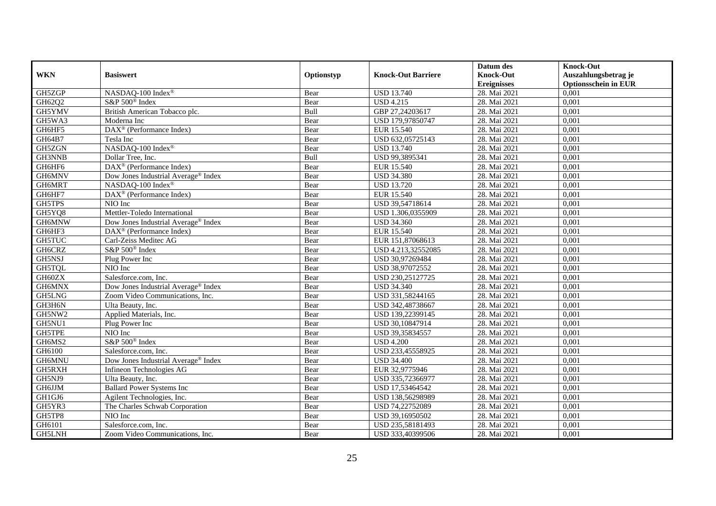|               |                                                       |            |                           | Datum des          | <b>Knock-Out</b>            |
|---------------|-------------------------------------------------------|------------|---------------------------|--------------------|-----------------------------|
| <b>WKN</b>    | <b>Basiswert</b>                                      | Optionstyp | <b>Knock-Out Barriere</b> | <b>Knock-Out</b>   | Auszahlungsbetrag je        |
|               |                                                       |            |                           | <b>Ereignisses</b> | <b>Optionsschein in EUR</b> |
| GH5ZGP        | NASDAQ-100 Index®                                     | Bear       | <b>USD 13.740</b>         | 28. Mai 2021       | 0,001                       |
| GH62Q2        | S&P 500 <sup>®</sup> Index                            | Bear       | <b>USD 4.215</b>          | 28. Mai 2021       | 0,001                       |
| GH5YMV        | British American Tobacco plc.                         | Bull       | GBP 27,24203617           | 28. Mai 2021       | 0,001                       |
| GH5WA3        | Moderna Inc                                           | Bear       | USD 179,97850747          | 28. Mai 2021       | 0.001                       |
| GH6HF5        | DAX <sup>®</sup> (Performance Index)                  | Bear       | EUR 15.540                | 28. Mai 2021       | 0,001                       |
| GH64B7        | Tesla Inc                                             | Bear       | USD 632,05725143          | 28. Mai 2021       | 0,001                       |
| GH5ZGN        | NASDAQ-100 Index®                                     | Bear       | <b>USD 13.740</b>         | 28. Mai 2021       | 0,001                       |
| GH3NNB        | Dollar Tree, Inc.                                     | Bull       | USD 99,3895341            | 28. Mai 2021       | 0,001                       |
| GH6HF6        | DAX <sup>®</sup> (Performance Index)                  | Bear       | EUR 15.540                | 28. Mai 2021       | 0,001                       |
| GH6MNV        | Dow Jones Industrial Average <sup>®</sup> Index       | Bear       | <b>USD 34.380</b>         | 28. Mai 2021       | 0,001                       |
| GH6MRT        | NASDAQ-100 Index®                                     | Bear       | <b>USD 13.720</b>         | 28. Mai 2021       | 0,001                       |
| GH6HF7        | $\overline{\text{DAX}^{\otimes}}$ (Performance Index) | Bear       | <b>EUR 15.540</b>         | 28. Mai 2021       | 0,001                       |
| <b>GH5TPS</b> | NIO Inc                                               | Bear       | USD 39,54718614           | 28. Mai 2021       | 0,001                       |
| GH5YQ8        | Mettler-Toledo International                          | Bear       | USD 1.306,0355909         | 28. Mai 2021       | 0,001                       |
| GH6MNW        | Dow Jones Industrial Average® Index                   | Bear       | <b>USD 34.360</b>         | 28. Mai 2021       | 0,001                       |
| GH6HF3        | DAX <sup>®</sup> (Performance Index)                  | Bear       | EUR 15.540                | 28. Mai 2021       | 0,001                       |
| <b>GH5TUC</b> | Carl-Zeiss Meditec AG                                 | Bear       | EUR 151,87068613          | 28. Mai 2021       | 0,001                       |
| GH6CRZ        | S&P 500 <sup>®</sup> Index                            | Bear       | USD 4.213.32552085        | 28. Mai 2021       | 0,001                       |
| <b>GH5NSJ</b> | Plug Power Inc                                        | Bear       | USD 30,97269484           | 28. Mai 2021       | 0,001                       |
| GH5TQL        | NIO Inc                                               | Bear       | USD 38,97072552           | 28. Mai 2021       | 0,001                       |
| GH60ZX        | Salesforce.com, Inc.                                  | Bear       | USD 230,25127725          | 28. Mai 2021       | 0,001                       |
| GH6MNX        | Dow Jones Industrial Average <sup>®</sup> Index       | Bear       | <b>USD 34.340</b>         | 28. Mai 2021       | 0,001                       |
| GH5LNG        | Zoom Video Communications, Inc.                       | Bear       | USD 331,58244165          | 28. Mai 2021       | 0,001                       |
| GH3H6N        | Ulta Beauty, Inc.                                     | Bear       | USD 342,48738667          | 28. Mai 2021       | 0,001                       |
| GH5NW2        | Applied Materials, Inc.                               | Bear       | USD 139,22399145          | 28. Mai 2021       | 0,001                       |
| GH5NU1        | Plug Power Inc                                        | Bear       | USD 30,10847914           | 28. Mai 2021       | 0,001                       |
| GH5TPE        | NIO Inc                                               | Bear       | USD 39,35834557           | 28. Mai 2021       | 0,001                       |
| GH6MS2        | S&P 500 <sup>®</sup> Index                            | Bear       | <b>USD 4.200</b>          | 28. Mai 2021       | 0,001                       |
| GH6100        | Salesforce.com, Inc.                                  | Bear       | USD 233,45558925          | 28. Mai 2021       | 0,001                       |
| GH6MNU        | Dow Jones Industrial Average® Index                   | Bear       | <b>USD 34.400</b>         | 28. Mai 2021       | 0,001                       |
| GH5RXH        | Infineon Technologies AG                              | Bear       | EUR 32,9775946            | 28. Mai 2021       | 0,001                       |
| GH5NJ9        | Ulta Beauty, Inc.                                     | Bear       | USD 335,72366977          | 28. Mai 2021       | 0,001                       |
| GH6JJM        | <b>Ballard Power Systems Inc</b>                      | Bear       | USD 17,53464542           | 28. Mai 2021       | 0,001                       |
| GH1GJ6        | Agilent Technologies, Inc.                            | Bear       | USD 138,56298989          | 28. Mai 2021       | 0,001                       |
| GH5YR3        | The Charles Schwab Corporation                        | Bear       | USD 74,22752089           | 28. Mai 2021       | 0,001                       |
| GH5TP8        | NIO Inc                                               | Bear       | USD 39,16950502           | 28. Mai 2021       | 0,001                       |
| GH6101        | Salesforce.com, Inc.                                  | Bear       | USD 235,58181493          | 28. Mai 2021       | 0,001                       |
| <b>GH5LNH</b> | Zoom Video Communications, Inc.                       | Bear       | USD 333,40399506          | 28. Mai 2021       | 0,001                       |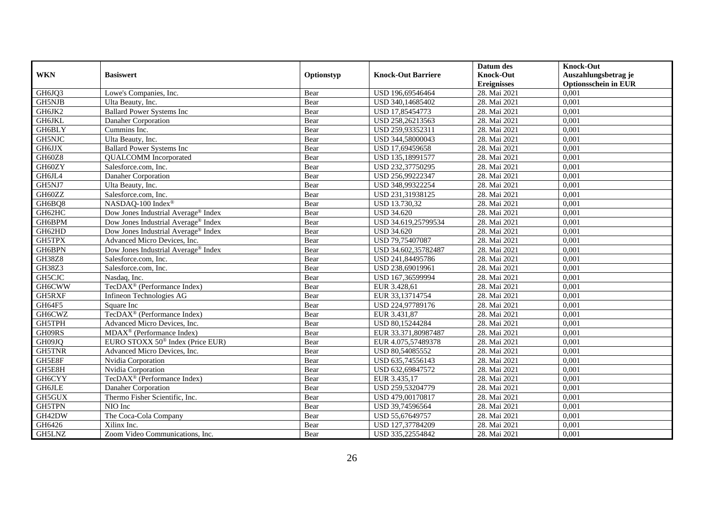|               |                                              |            |                           | Datum des          | <b>Knock-Out</b>            |
|---------------|----------------------------------------------|------------|---------------------------|--------------------|-----------------------------|
| <b>WKN</b>    | <b>Basiswert</b>                             | Optionstyp | <b>Knock-Out Barriere</b> | <b>Knock-Out</b>   | Auszahlungsbetrag je        |
|               |                                              |            |                           | <b>Ereignisses</b> | <b>Optionsschein in EUR</b> |
| GH6JQ3        | Lowe's Companies, Inc.                       | Bear       | USD 196,69546464          | 28. Mai 2021       | 0,001                       |
| GH5NJB        | Ulta Beauty, Inc.                            | Bear       | USD 340,14685402          | 28. Mai 2021       | 0,001                       |
| GH6JK2        | <b>Ballard Power Systems Inc</b>             | Bear       | USD 17,85454773           | 28. Mai 2021       | 0,001                       |
| <b>GH6JKL</b> | Danaher Corporation                          | Bear       | USD 258,26213563          | 28. Mai 2021       | 0,001                       |
| GH6BLY        | Cummins Inc.                                 | Bear       | USD 259,93352311          | 28. Mai 2021       | 0,001                       |
| GH5NJC        | Ulta Beauty, Inc.                            | Bear       | USD 344,58000043          | 28. Mai 2021       | 0,001                       |
| GH6JJX        | <b>Ballard Power Systems Inc</b>             | Bear       | USD 17,69459658           | 28. Mai 2021       | 0,001                       |
| GH60Z8        | <b>QUALCOMM</b> Incorporated                 | Bear       | USD 135,18991577          | 28. Mai 2021       | 0,001                       |
| GH60ZY        | Salesforce.com, Inc.                         | Bear       | USD 232,37750295          | 28. Mai 2021       | 0,001                       |
| GH6JL4        | Danaher Corporation                          | Bear       | USD 256,99222347          | 28. Mai 2021       | 0,001                       |
| GH5NJ7        | Ulta Beauty, Inc.                            | Bear       | USD 348,99322254          | 28. Mai 2021       | 0,001                       |
| GH60ZZ        | Salesforce.com, Inc.                         | Bear       | USD 231,31938125          | 28. Mai 2021       | 0,001                       |
| GH6BQ8        | NASDAQ-100 Index®                            | Bear       | USD 13.730,32             | 28. Mai 2021       | 0,001                       |
| GH62HC        | Dow Jones Industrial Average® Index          | Bear       | <b>USD 34.620</b>         | 28. Mai 2021       | 0,001                       |
| GH6BPM        | Dow Jones Industrial Average® Index          | Bear       | USD 34.619,25799534       | 28. Mai 2021       | 0,001                       |
| GH62HD        | Dow Jones Industrial Average® Index          | Bear       | <b>USD 34.620</b>         | 28. Mai 2021       | 0,001                       |
| GH5TPX        | Advanced Micro Devices, Inc.                 | Bear       | USD 79,75407087           | 28. Mai 2021       | 0,001                       |
| GH6BPN        | Dow Jones Industrial Average® Index          | Bear       | USD 34.602,35782487       | 28. Mai 2021       | 0,001                       |
| <b>GH38Z8</b> | Salesforce.com, Inc.                         | Bear       | USD 241,84495786          | 28. Mai 2021       | 0,001                       |
| GH38Z3        | Salesforce.com, Inc.                         | Bear       | USD 238,69019961          | 28. Mai 2021       | 0,001                       |
| GH5CJC        | Nasdaq, Inc.                                 | Bear       | USD 167,36599994          | 28. Mai 2021       | 0,001                       |
| <b>GH6CWW</b> | TecDAX <sup>®</sup> (Performance Index)      | Bear       | EUR 3.428,61              | 28. Mai 2021       | 0,001                       |
| GH5RXF        | Infineon Technologies AG                     | Bear       | EUR 33,13714754           | 28. Mai 2021       | 0,001                       |
| GH64F5        | Square Inc                                   | Bear       | USD 224,97789176          | 28. Mai 2021       | 0,001                       |
| GH6CWZ        | TecDAX <sup>®</sup> (Performance Index)      | Bear       | EUR 3.431,87              | 28. Mai 2021       | 0,001                       |
| GH5TPH        | Advanced Micro Devices, Inc.                 | Bear       | USD 80,15244284           | 28. Mai 2021       | 0,001                       |
| GH09RS        | MDAX <sup>®</sup> (Performance Index)        | Bear       | EUR 33.371,80987487       | 28. Mai 2021       | 0,001                       |
| GH09JQ        | EURO STOXX 50 <sup>®</sup> Index (Price EUR) | Bear       | EUR 4.075,57489378        | 28. Mai 2021       | 0,001                       |
| <b>GH5TNR</b> | Advanced Micro Devices, Inc.                 | Bear       | USD 80,54085552           | 28. Mai 2021       | 0,001                       |
| GH5E8F        | Nvidia Corporation                           | Bear       | USD 635,74556143          | 28. Mai 2021       | 0.001                       |
| GH5E8H        | Nvidia Corporation                           | Bear       | USD 632,69847572          | 28. Mai 2021       | 0,001                       |
| <b>GH6CYY</b> | TecDAX <sup>®</sup> (Performance Index)      | Bear       | EUR 3.435,17              | 28. Mai 2021       | 0,001                       |
| <b>GH6JLE</b> | Danaher Corporation                          | Bear       | USD 259,53204779          | 28. Mai 2021       | 0,001                       |
| GH5GUX        | Thermo Fisher Scientific, Inc.               | Bear       | USD 479,00170817          | 28. Mai 2021       | 0,001                       |
| <b>GH5TPN</b> | NIO Inc                                      | Bear       | USD 39,74596564           | 28. Mai 2021       | 0,001                       |
| GH42DW        | The Coca-Cola Company                        | Bear       | USD 55,67649757           | 28. Mai 2021       | 0,001                       |
| GH6426        | Xilinx Inc.                                  | Bear       | USD 127,37784209          | 28. Mai 2021       | 0,001                       |
| GH5LNZ        | Zoom Video Communications, Inc.              | Bear       | USD 335,22554842          | 28. Mai 2021       | 0,001                       |